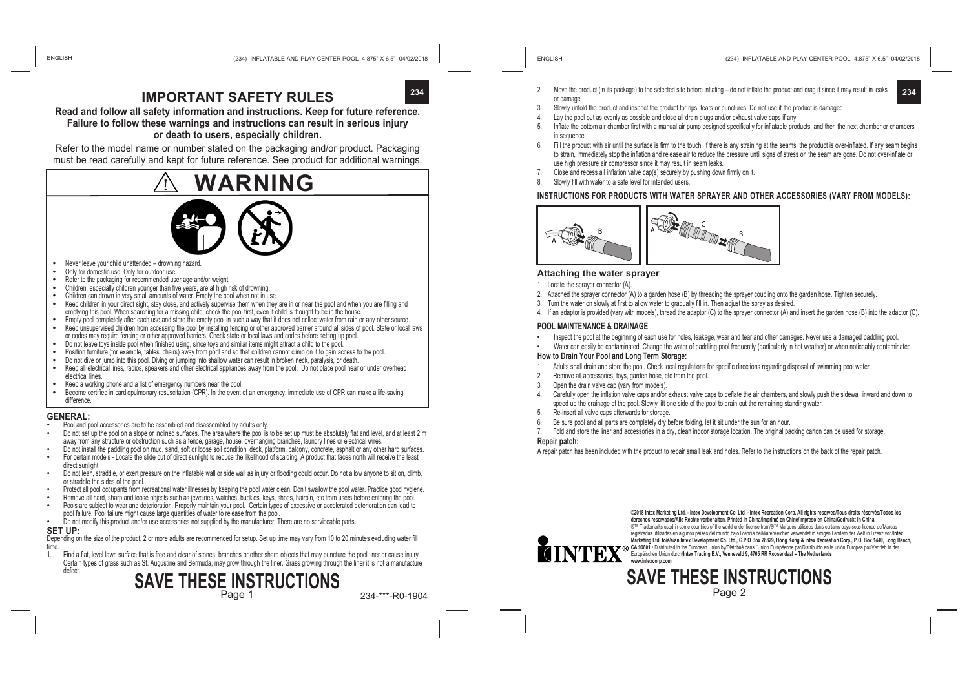**234**

## **IMPORTANT SAFFTY RULES**

**Read and follow all safety information and instructions. Keep for future reference. Failure to follow these warnings and instructions can result in serious injury or death to users, especially children.**

Refer to the model name or number stated on the packaging and/or product. Packaging must be read carefully and kept for future reference. See product for additional warnings.



- 
- 
- 
- 
- 
- Never leave your child unattended drowning hazard.<br>
Only for domestic use. Only for outdoor use.<br>
Refer to the packaging for recommended user age and/or weight.<br>
Children, especially children younger than five years, are emptying this pool. When searching for a missing child, check the pool first, even if child is thought to be in the house.<br>Empty pool completely after each use and store the empty pool in such a way that it does not collec
- Keep unsupervised children from accessing the pool by installing fencing or other approved barrier around all sides of pool. State or local laws
- or codes may require fencing or other approved barriers. Check state or local laws and codes before setting up pool.<br>Do not leave toys inside pool when finished using, since toys and similar items might attract a child to
- 
- 
- Position furniture (for example, tables, chairs) away from pool and so that children cannot climb on it to gain access to the pool.<br>Do not dive or jump into this pool. Diving or jumping into shallow water can result in bro
- electrical lines.<br>Keep a working phone and a list of emergency numbers near the pool.
- 
- **•** Become certified in cardiopulmonary resuscitation (CPR). In the event of an emergency, immediate use of CPR can make a life-saving difference.

- **GENERAL:** Pool and pool accessories are to be assembled and disassembled by adults only.
- Do not set up the pool on a slope or inclined surfaces. The area where the pool is to be set up must be absolutely flat and level, and at least 2 m away from any structure or obstruction such as a fence, garage, house, overhanging branches, laundry lines or electrical wires.
- Do not install the paddling pool on mud, sand, soft or loose soil condition, deck, platform, balcony, concrete, asphalt or any other hard surfaces. • For certain models - Locate the slide out of direct sunlight to reduce the likelihood of scalding. A product that faces north will receive the least
- direct sunlight.
- Do not lean, straddle, or exert pressure on the inflatable wall or side wall as injury or flooding could occur. Do not allow anyone to sit on, climb, or straddle the sides of the pool.
- Protect all pool occupants from recreational water illnesses by keeping the pool water clean. Don't swallow the pool water. Practice good hygiene.<br>Remove all hard, sharp and loose objects such as jewelries, watches, buckle
- Pools are subject to wear and deterioration. Properly maintain your pool. Certain types of excessive or accelerated deterioration can lead to
- pool failure. Pool failure might cause large quantities of water to release from the pool. • Do not modify this product and/or use accessories not supplied by the manufacturer. There are no serviceable parts.
- **SET UP:**

Depending on the size of the product, 2 or more adults are recommended for setup. Set up time may vary from 10 to 20 minutes excluding water fill

time<br>1 Find a flat, level lawn surface that is free and clear of stones, branches or other sharp objects that may puncture the pool liner or cause injury. Certain types of grass such as St. Augustine and Bermuda, may grow through the liner. Grass growing through the liner it is not a manufacture defect.

## **SAVE THESE INSTRUCTIONS**

Page 1

234-\*\*\*-R0-1904

- 2. Move the product (in its package) to the selected site before inflating do not inflate the product and drag it since it may result in leaks or damage. **234**
- 3. Slowly unfold the product and inspect the product for rips, tears or punctures. Do not use if the product is damaged.<br>4. Lay the pool out as eventy as possible and close all drain pluns and/or exhaust value cans if any
- Lay the pool out as evenly as possible and close all drain plugs and/or exhaust valve caps if any.
- 5. Inflate the bottom air chamber first with a manual air pump designed specifically for inflatable products, and then the next chamber or chambers in sequence
- 6. Fill the product with air until the surface is firm to the touch. If there is any straining at the seams, the product is over-inflated. If any seam begins to strain, immediately stop the inflation and release air to reduce the pressure until signs of stress on the seam are gone. Do not over-inflate or use high pressure air compressor since it may result in seam leaks.
- 7. Close and recess all inflation valve cap(s) securely by pushing down firmly on it.
- 8. Slowly fill with water to a safe level for intended users.

#### **INSTRUCTIONS FOR PRODUCTS WITH WATER SPRAYER AND OTHER ACCESSORIES (VARY FROM MODELS):**



#### **Attaching the water sprayer**

- 1. Locate the sprayer connector (A).
- 2. Attached the sprayer connector (A) to a garden hose (B) by threading the sprayer coupling onto the garden hose. Tighten securely.
- 3. Turn the water on slowly at first to allow water to gradually fill in. Then adjust the spray as desired.
- 4. If an adaptor is provided (vary with models), thread the adaptor (C) to the sprayer connector (A) and insert the garden hose (B) into the adaptor (C).

#### **POOL MAINTENANCE & DRAINAGE**

- Inspect the pool at the beginning of each use for holes, leakage, wear and tear and other damages. Never use a damaged paddling pool.
- Water can easily be contaminated. Change the water of paddling pool frequently (particularly in hot weather) or when noticeably contaminated.

#### **How to Drain Your Pool and Long Term Storage:**

- Adults shall drain and store the pool. Check local regulations for specific directions regarding disposal of swimming pool water.
- 2. Remove all accessories, toys, garden hose, etc from the pool.
- 3. Open the drain valve cap (vary from models).
- 4. Carefully open the inflation valve caps and/or exhaust valve caps to deflate the air chambers, and slowly push the sidewall inward and down to speed up the drainage of the pool. Slowly lift one side of the pool to drain out the remaining standing water.
- Re-insert all valve caps afterwards for storage.
- Be sure pool and all parts are completely dry before folding, let it sit under the sun for an hour.
- Fold and store the liner and accessories in a dry, clean indoor storage location. The original packing carton can be used for storage.

#### **Repair patch:**

A repair patch has been included with the product to repair small leak and holes. Refer to the instructions on the back of the repair patch.

**©2018 Intex Marketing Ltd. - Intex Development Co. Ltd. - Intex Recreation Corp. All rights reserved/Tous droits réservés/Todos los derechos reservados/Alle Rechte vorbehalten. Printed in China/Imprimé en Chine/Impreso en China/Gedruckt in China.** ®™ Trademarks used in some countries of the world under license from/®™ Marques utilisées dans certains pays sous licence de/Marcas registradas utilizadas en algunos países del mundo bajo licencia de/Warenzeichen verwendet in einigen Ländern der Welt in Lizenz von/**Intex Marketing Ltd. to/à/a/an Intex Development Co. Ltd., G.P.O Box 28829, Hong Kong & Intex Recreation Corp., P.O. Box 1440, Long Beach,**  CA 90801 • Distributed in the European Union by/Distribué dans l'Union Européenne par/Distribuido en la unión Europea por/Vertrieb in der Europäischen Union durch/**Intex Trading B.V., Venneveld 9, 4705 RR Roosendaal – The Netherlands www.intexcorp.com** 

## **SAVE THESE INSTRUCTIONS**

Page 2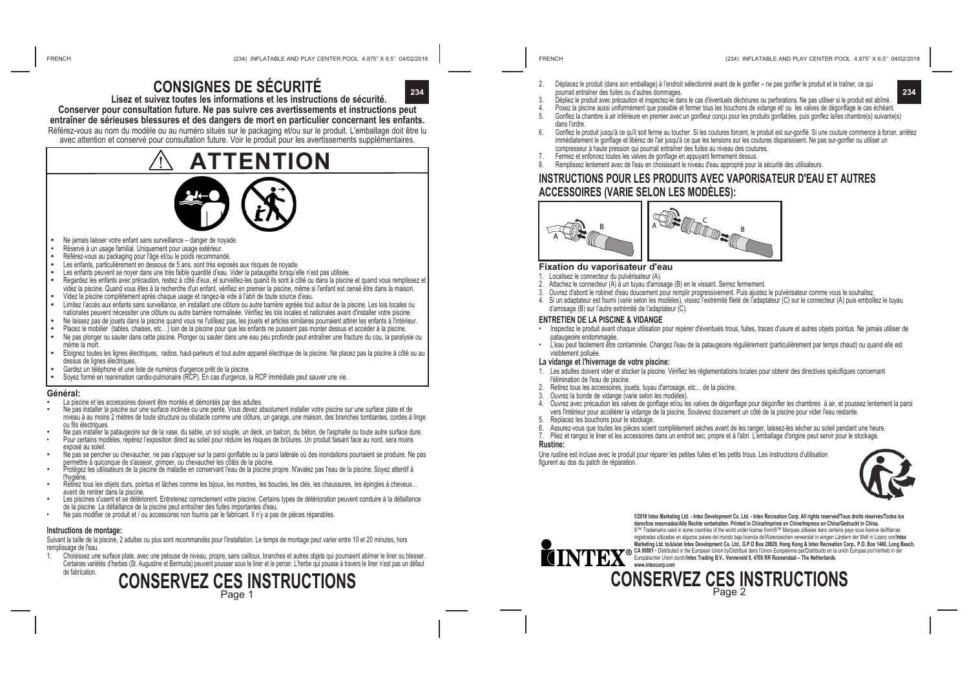# **CONSIGNES DE SÉCURITÉ**



**Lisez et suivez toutes les informations et les instructions de sécurité. Conserver pour consultation future. Ne pas suivre ces avertissements et instructions peut** 

#### **entraîner de sérieuses blessures et des dangers de mort en particulier concernant les enfants.**

Référez-vous au nom du modèle ou au numéro situés sur le packaging et/ou sur le produit. L'emballage doit être lu avec attention et conservé pour consultation future. Voir le produit pour les avertissements supplémentaires.

# **ATTENTION**

- **•** Ne jamais laisser votre enfant sans surveillance danger de noyade.
- Rèservè à un usage familial. Uniquement pour usage extérieur.<br>Référez-vous au packaging pour l'âge et/ou le poids recommandé
- 
- 
- 
- Les enfants, particulièrement en dessous de 5 ans, sont très exposés aux risques de noyade.<br>Les enfants peuvent se noyer dans une très faible quantité d'eau. Vider la pataugette lorsqu'elle n'est pas utilisée.<br>Regardez les videz la piscine. Quand vous êtes à la recherche d'un enfant, vérifiez en premier la piscine, même si l'enfant est censé être dans la maison.<br>Videz la piscine complètement après chaque usage et rangez-la vide à l'abri de t
- 
- Limitez l'accès aux enfants sans surveillance, en installant une clôture ou autre barrière agréée tout autour de la piscine. Les lois locales ou nationales peuvent nécessiter une clôture ou autre barrière normalisée. Vérifiez les lois locales et nationales avant d'installer votre piscine.<br>Ne laissez pas de jouets dans la piscine quand vous ne l'utilisez pas, les jo
- 
- Placez le mobilier '(tables, chaises, etc...) loin de la piscine pour que les enfants ne puissent pas monter dessus et accéder à la piscine.<br>Ne pas plonger ou sauter dans cette piscine. Plonger ou sauter dans une eau peu p
- même la mort. **•** Eloignez toutes les lignes électriques, radios, haut-parleurs et tout autre appareil électrique de la piscine. Ne placez pas la piscine à côté ou au
- dessus de lignes électriques.<br>Gardez un téléphone et une liste de numéros d'urgence prêt de la piscine.
- Soyez formé en reanimation cardio-pulmonaire (RCP). En cas d'urgence, la RCP immédiate peut sauver une vie.

- Général:<br>• La piscine et les accessoires doivent être montés et démontés par des adultes
- Ne pas installer la piscine sur une surface inclinée ou une pente. Vous devez absolument installer votre piscine sur une surface plate et de niveau à au moins 2 mètres de toute structure ou obstacle comme une clôture, un garage, une maison, des branches tombantes, cordes à linge<br>ou fils électriques.
- Ne pas installer la pataugeoire sur de la vase, du sable, un sol souple, un deck, un balcon, du béton, de l'asphalte ou toute autre surface dure.<br>Pour certains modèles, repérez l'exposition direct au soleil pour réduire le
- exposé au soleil.
- Ne pas se pencher ou chevaucher, ne pas s'appuyer sur la paroi gonflable ou la paroi latérale où des inondations pourraient se produire. Ne pas<br>permettre à quiconque de s'asseoir, grimper, ou chevaucher les côtés de la pis
- Protégez les utilisateurs de la piscine de maladie en conservant l'eau de la piscine propre. N'avalez pas l'eau de la piscine. Soyez attentif à<br>l'hygiène.
- <sup>l</sup>'hygiène. Retirez tous les objets durs, pointus et lâches comme les bijoux, les montres, les boucles, les clés, les chaussures, les épingles à cheveux… avant de rentrer dans la piscine.
- Les piscines s'usent et se détériorent. Entretenez correctement votre piscine. Certains types de détérioration peuvent conduire à la défaillance<br>de la piscine. La défaillance de la piscine peut entraîner des fuites importa
- Ne pas modifier ce produit et / ou accessoires non fournis par le fabricant. Il n'y a pas de pièces réparables.

#### **Instructions de montage:**

Suivant la taille de la piscine, 2 adultes ou plus sont recommandés pour l'installation. Le temps de montage peut varier entre 10 et 20 minutes, hors remplissage de l'eau.<br>1 Choisissez une

1. Choisissez une surface plate, avec une pelouse de niveau, propre, sans cailloux, branches et autres objets qui pourraient abîmer le liner ou blesser. Certaines variétés d'herbes (St. Augustine et Bermuda) peuvent pousser sous le liner et le percer. L'herbe qui pousse à travers le liner n'est pas un défaut de fabrication.



- 2. Déplacez le produit (dans son emballage) à l'endroit sélectionné avant de le gonfler ne pas gonfler le produit et le traîner, ce qui pourrait entraîner des fuites ou d'autres dommages.
- 3. Dépliez le produit avec précaution et inspectez-le dans le cas d'éventuels déchirures ou perforations. Ne pas utiliser si le produit est abîmé.
- Posez la piscine aussi uniformément que possible et fermer tous les bouchons de vidange et/ ou les valves de dégonflage le cas échéant.
- 5. Gonflez la chambre à air inférieure en premier avec un gonfleur conçu pour les produits gonflables, puis gonflez la/les chambre(s) suivante(s) dans l'ordre.
- 6. Gonflez le produit jusqu'à ce qu'il soit ferme au toucher. Si les coutures forcent, le produit est sur-gonflé. Si une couture commence à forcer, arrêtez immédiatement le gonflage et libérez de l'air jusqu'à ce que les tensions sur les coutures disparaissent. Ne pas sur-gonfler ou utiliser un compresseur à haute pression qui pourrait entraîner des fuites au niveau des coutures.

(234) INFLATABLE AND PLAY CENTER POOL 4.875" X 6.5" 04/02/2018 (234) INFLATABLE AND PLAY CENTER POOL 4.875" X 6.5" 04/02/2018

- Fermez et enfoncez toutes les valves de gonflage en appuyant fermement dessus.
- 8. Remplissez lentement avec de l'eau en choisissant le niveau d'eau approprié pour la sécurité des utilisateurs.

### **INSTRUCTIONS POUR LES PRODUITS AVEC VAPORISATEUR D'EAU ET AUTRES ACCESSOIRES (VARIE SELON LES MODÈLES):**



#### **Fixation du vaporisateur d'eau**

- 1. Localisez le connecteur du pulvérisateur (A).
- Attachez le connecteur (A) à un tuyau d'arrosage (B) en le vissant. Serrez fermement.
- 3. Ouvrez d'abord le robinet d'eau doucement pour remplir progressivement. Puis ajustez le pulvérisateur comme vous le souhaitez.
- Si un adaptateur est fourni (varie selon les modèles), vissez l'extrémité fileté de l'adaptateur (C) sur le connecteur (A) puis emboîtez le tuyau d'arrosage (B) sur l'autre extrémité de l'adaptateur (C).

#### **ENTRETIEN DE LA PISCINE & VIDANGE**

- Inspectez le produit avant chaque utilisation pour repérer d'éventuels trous, fuites, traces d'usure et autres objets pointus. Ne jamais utiliser de pataugeoire endommagée.
- L'eau peut facilement être contaminée. Changez l'eau de la pataugeoire régulièrement (particulièrement par temps chaud) ou quand elle est visiblement polluée.

#### **La vidange et l'hivernage de votre piscine:**

- 1. Les adultes doivent vider et stocker la piscine. Vérifiez les réglementations locales pour obtenir des directives spécifiques concernant l'élimination de l'eau de piscine.
- 2. Retirez tous les accessoires, jouets, tuyau d'arrosage, etc… de la piscine.
- Ouvrez la bonde de vidange (varie selon les modèles).
- 4. Ouvrez avec précaution les valves de gonflage et/ou les valves de dégonflage pour dégonfler les chambres à air, et poussez lentement la paroi vers l'intérieur pour accélérer la vidange de la piscine. Soulevez doucement un côté de la piscine pour vider l'eau restante.
- Replacez les bouchons pour le stockage.
- 6. Assurez-vous que toutes les pièces soient complètement sèches avant de les ranger, laissez-les sécher au soleil pendant une heure.
- 7. Pliez et rangez le liner et les accessoires dans un endroit sec, propre et à l'abri. L'emballage d'origine peut servir pour le stockage.
- **Rustine:**

Une rustine est incluse avec le produit pour réparer les petites fuites et les petits trous. Les instructions d'utilisation figurent au dos du patch de réparation.





**©2018 Intex Marketing Ltd. - Intex Development Co. Ltd. - Intex Recreation Corp. All rights reserved/Tous droits réservés/Todos los derechos reservados/Alle Rechte vorbehalten. Printed in China/Imprimé en Chine/Impreso en China/Gedruckt in China.** ®™ Trademarks used in some countries of the world under license from/®™ Marques utilisées dans certains pays sous licence de/Marcas registradas utilizadas en algunos países del mundo bajo licencia de/Warenzeichen verwendet in einigen Ländern der Welt in Lizenz von/**Intex Marketing Ltd. to/à/a/an Intex Development Co. Ltd., G.P.O Box 28829, Hong Kong & Intex Recreation Corp., P.O. Box 1440, Long Beach,**  CA 90801 • Distributed in the European Union by/Distribue dans l'Union Europeenne par/Distributio en la union Europea por/Vertrieb in der<br>Europäischen Union durch/**intex Trading B.V., Venneveld 9, 4705 RR Roosendaal – The www.intexcorp.com** 

# **CONSERVEZ CES INSTRUCTIONS**

Page 2

**234**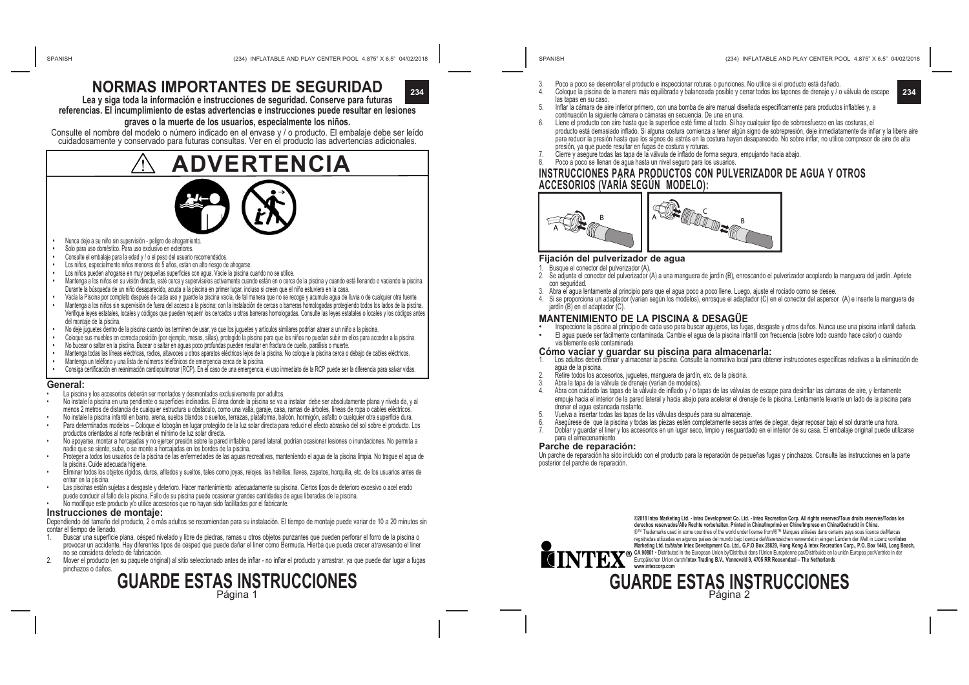

**Lea y siga toda la información e instrucciones de seguridad. Conserve para futuras referencias. El incumplimiento de estas advertencias e instrucciones puede resultar en lesiones** 

#### **graves o la muerte de los usuarios, especialmente los niños.**

Consulte el nombre del modelo o número indicado en el envase y / o producto. El embalaje debe ser leído cuidadosamente y conservado para futuras consultas. Ver en el producto las advertencias adicionales.

# **ADVERTENCIA**

- **•**  Nunca deje a su niño sin supervisión peligro de ahogamiento.
- **•**  Solo para uso doméstico. Para uso exclusivo en exteriores.
- **•**  Consulte el embalaje para la edad y / o el peso del usuario recomendados.
- Los niños, especialmente niños menores de 5 años, están en alto riesgo de ahogarse.
- Los niños pueden ahogarse en muy pequeñas superficies con agua. Vacíe la piscina cuando no se utilice
- **•**  Mantenga a los niños en su visión directa, esté cerca y supervíselos activamente cuando están en o cerca de la piscina y cuando está llenando o vaciando la piscina. Durante la búsqueda de un niño desaparecido, acuda a la piscina en primer lugar, incluso si creen que el niño estuviera en la casa.
- **•**  Vacía la Piscina por completo después de cada uso y guarde la piscina vacía, de tal manera que no se recoge y acumule agua de lluvia o de cualquier otra fuente. **•** Mantenga a los niños sin supervisión de fuera del acceso a la piscina; con la instalación de cercas o barreras homologadas protegiendo todos los lados de la piscina.
- Verifique leyes estatales, locales y códigos que pueden requerir los cercados u otras barreras homologadas. Consulte las leyes estatales o locales y los códigos antes del montaje de la piscina.
- **•** No deje juguetes dentro de la piscina cuando los terminen de usar, ya que los juguetes y artículos similares podrían atraer a un niño a la piscina.
- **•** Coloque sus muebles en correcta posición (por ejemplo, mesas, sillas), protegido la piscina para que los niños no puedan subir en ellos para acceder a la piscina.
- **•** No bucear o saltar en la piscina. Bucear o saltar en aguas poco profundas pueden resultar en fractura de cuello, parálisis o muerte.
- **•** Mantenga todas las líneas eléctricas, radios, altavoces u otros aparatos eléctricos lejos de la piscina. No coloque la piscina cerca o debajo de cables eléctricos.
- **•** Mantenga un teléfono y una lista de números telefónicos de emergencia cerca de la piscina.
- **•** Consiga certificación en reanimación cardiopulmonar (RCP). En el caso de una emergencia, el uso inmediato de la RCP puede ser la diferencia para salvar vidas.

#### **General:**

- La piscina y los accesorios deberán ser montados y desmontados exclusivamente por adultos
- No instale la piscina en una pendiente o superficies inclinadas. El área donde la piscina se va a instalar debe ser absolutamente plana y nivela da, y al menos 2 metros de distancia de cualquier estructura u obstáculo, como una valla, garaje, casa, ramas de árboles, líneas de ropa o cables eléctricos.
- No instale la piscina infantil en barro, arena, suelos blandos o sueltos, terrazas, plataforma, balcón, hormigón, asfalto o cualquier otra superficie dura. • Para determinados modelos – Coloque el tobogán en lugar protegido de la luz solar directa para reducir el efecto abrasivo del sol sobre el producto. Los
- productos orientados al norte recibirán el mínimo de luz solar directa.
- No apoyarse, montar a horcajadas y no ejercer presión sobre la pared inflable o pared lateral, podrían ocasionar lesiones o inundaciones. No permita a<br>nadie que se siente, suba, o se monte a horcajadas en los bordes de la
- Proteger a todos los usuarios de la piscina de las enfermedades de las aguas recreativas, manteniendo el agua de la piscina limpia. No trague el agua de la piscina. Cuide adecuada higiene.
- Eliminar todos los objetos rígidos, duros, afilados y sueltos, tales como joyas, relojes, las hebillas, llaves, zapatos, horquilla, etc. de los usuarios antes de entrar en la piscina.
- Las piscinas están sujetas a desgaste y deterioro. Hacer mantenimiento adecuadamente su piscina. Ciertos tipos de deterioro excesivo o acel erado puede conducir al fallo de la piscina. Fallo de su piscina puede ocasionar grandes cantidades de agua liberadas de la piscina.
- No modifique este producto y/o utilice accesorios que no hayan sido facilitados por el fabricante.

#### **Instrucciones de montaje:**

Dependiendo del tamaño del producto, 2 o más adultos se recomiendan para su instalación. El tiempo de montaje puede variar de 10 a 20 minutos sin contar el tiempo de llenado.

- 1. Buscar una superficie plana, césped nivelado y libre de piedras, ramas u otros objetos punzantes que pueden perforar el forro de la piscina o provocar un accidente. Hay diferentes tipos de césped que puede dañar el liner como Bermuda. Hierba que pueda crecer atravesando el liner no se considera defecto de fabricación.
- 2. Mover el producto (en su paquete original) al sitio seleccionado antes de inflar no inflar el producto y arrastrar, ya que puede dar lugar a fugas pinchazos o daños.

## **GUARDE ESTAS INSTRUCCIONES** Página 1

- (234) INFLATABLE AND PLAY CENTER POOL 4.875" X 6.5" 04/02/2018 (234) INFLATABLE AND PLAY CENTER POOL 4.875" X 6.5" 04/02/2018
- 3. Poco a poco se desenrollar el producto e inspeccionar roturas o punciones. No utilice si el producto está dañado.
- 234 **234 234 234 234 234 234 234 234 234 234 234 234 234 234 234 234 234 234 234 234 234 234 234 234 234 234 234 234 234 234 234 234 234 234 234 234 2** las tapas en su caso. Inflar la cámara de aire inferior primero, con una bomba de aire manual diseñada específicamente para productos inflables y, a
	- continuación la siguiente cámara o cámaras en secuencia. De una en una.
	- 6. Llene el producto con aire hasta que la superficie esté firme al tacto. Si hay cualquier tipo de sobreesfuerzo en las costuras, el producto está demasiado inflado. Si alguna costura comienza a tener algún signo de sobrepresión, deje inmediatamente de inflar y la libere aire para reducir la presión hasta que los signos de estrés en la costura hayan desaparecido. No sobre inflar, no utilice compresor de aire de alta presión, ya que puede resultar en fugas de costura y roturas.
	- Cierre y asegure todas las tapa de la válvula de inflado de forma segura, empujando hacia abajo.
	- Poco a poco se llenan de agua hasta un nivel seguro para los usuarios.

#### **INSTRUCCIONES PARA PRODUCTOS CON PULVERIZADOR DE AGUA Y OTROS ACCESORIOS (VARÍA SEGÚN MODELO):**



#### **Fijación del pulverizador de agua**

- 1. Busque el conector del pulverizador (A).
- 2. Se adjunta el conector del pulverizador (A) a una manguera de jardín (B), enroscando el pulverizador acoplando la manguera del jardín. Apriete con seguridad.
- 3. Abra el agua lentamente al principio para que el agua poco a poco llene. Luego, ajuste el rociado como se desee.
- 4. Si se proporciona un adaptador (varían según los modelos), enrosque el adaptador (C) en el conector del aspersor (A) e inserte la manguera de jardín (B) en el adaptador (C).

- **MANTENIMIENTO DE LA PISCINA & DESAGÜE**<br>• l'Inspeccione la piscina al principio de cada uso para buscar agujeros, las fugas, desgaste y otros daños. Nunca use una piscina infantil dañada.<br>• El agua puede ser fácilmente con
	- visiblemente esté contaminada.

#### **Cómo vaciar y guardar su piscina para almacenarla:**

- 1. Los adultos deben drenar y almacenar la piscina. Consulte la normativa local para obtener instrucciones específicas relativas a la eliminación de agua de la piscina.
- 2. Retire todos los accesorios, juguetes, manguera de jardín, etc. de la piscina.<br>3. Abra la tapa de la válvula de drenaje (varían de modelos).
- Abra la tapa de la válvula de drenaje (varían de modelos).
- 4. Abra con cuidado las tapas de la válvula de inflado y / o tapas de las válvulas de escape para desinflar las cámaras de aire, y lentamente empuje hacia el interior de la pared lateral y hacia abajo para acelerar el drenaje de la piscina. Lentamente levante un lado de la piscina para drenar el agua estancada restante.
- 5. Vuelva a insertar todas las tapas de las válvulas después para su almacenaje.
- 6. Asegúrese de que la piscina y todas las piezas estén completamente secas antes de plegar, dejar reposar bajo el sol durante una hora.
- 7. Doblar y guardar el liner y los accesorios en un lugar seco, limpio y resguardado en el interior de su casa. El embalaje original puede utilizarse para el almacenamiento.

#### **Parche de reparación:**

Un parche de reparación ha sido incluido con el producto para la reparación de pequeñas fugas y pinchazos. Consulte las instrucciones en la parte posterior del parche de reparación.



**©2018 Intex Marketing Ltd. - Intex Development Co. Ltd. - Intex Recreation Corp. All rights reserved/Tous droits réservés/Todos los derechos reservados/Alle Rechte vorbehalten. Printed in China/Imprimé en Chine/Impreso en China/Gedruckt in China.** ®™ Trademarks used in some countries of the world under license from/®™ Marques utilisées dans certains pays sous licence de/Marcas registraas curizaas en agunos paises de muno oajo licencia eo warenzeizhen verwender in enigen Lancen nec wert in Lizenz vonninex<br>Marketing Ltd. tolálalan Intex Development Co. Ltd., G.P.O Box 28829, Hong Kong & Intex Recr

**GUARDE ESTAS INSTRUCCIONES** Página 2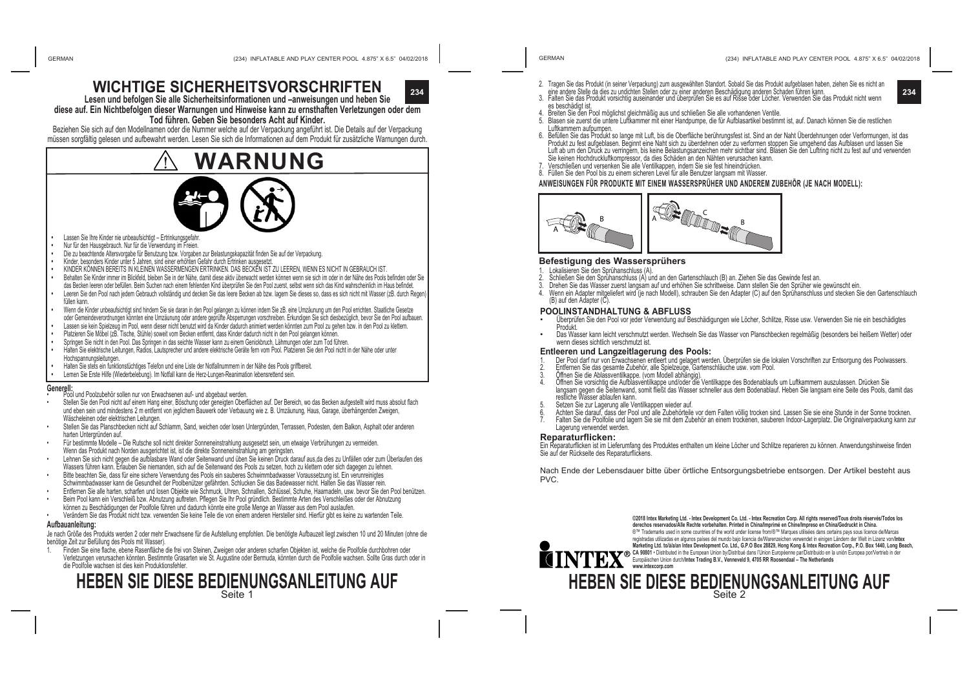

**Lesen und befolgen Sie alle Sicherheitsinformationen und –anweisungen und heben Sie diese auf. Ein Nichtbefolgen dieser Warnungen und Hinweise kann zu ernsthaften Verletzungen oder dem** 

#### **Tod führen. Geben Sie besonders Acht auf Kinder.**

Beziehen Sie sich auf den Modellnamen oder die Nummer welche auf der Verpackung angeführt ist. Die Details auf der Verpackung müssen sorgfältig gelesen und aufbewahrt werden. Lesen Sie sich die Informationen auf dem Produkt für zusätzliche Warnungen durch.

# **WARNUNG**



- Lassen Sie Ihre Kinder nie unbeaufsichtigt Ertrinkungsgefahr.
- Nur für den Hausgebrauch. Nur für die Verwendung im Freien.
- **•**  Die zu beachtende Altersvorgabe für Benutzung bzw. Vorgaben zur Belastungskapazität finden Sie auf der Verpackung.
- Kinder, besonders Kinder unter 5 Jahren, sind einer erhöhten Gefahr durch Ertrinken ausgesetzt
- **•**  KINDER KÖNNEN BEREITS IN KLEINEN WASSERMENGEN ERTRINKEN. DAS BECKEN IST ZU LEEREN, WENN ES NICHT IN GEBRAUCH IST.
- Behalten Sie Kinder immer im Blickfeld, bleiben Sie in der Nähe, damit diese aktiv überwacht werden können wenn sie sich im oder in der Nähe des Pools befinden oder Sie das Becken leeren oder befüllen. Beim Suchen nach einem fehlenden Kind überprüfen Sie den Pool zuerst, selbst wenn sich das Kind wahrscheinlich im Haus befindet.
- Leeren Sie den Pool nach jedem Gebrauch vollständig und decken Sie das leere Becken ab bzw. lagern Sie dieses so, dass es sich nicht mit Wasser (zB. durch Regen füllen kann.
- **•** Wenn die Kinder unbeaufsichtigt sind hindern Sie sie daran in den Pool gelangen zu können indem Sie zB. eine Umzäunung um den Pool errichten. Staatliche Gesetze oder Gemeindeverordnungen könnten eine Umzäunung oder andere geprüfte Absperrungen vorschreiben. Erkundigen Sie sich diesbezüglich, bevor Sie den Pool aufbauen. **•** Lassen sie kein Spielzeug im Pool, wenn dieser nicht benutzt wird da Kinder dadurch animiert werden könnten zum Pool zu gehen bzw. in den Pool zu klettern.
- **•** Platzieren Sie Möbel (zB. Tische, Stühle) soweit vom Becken entfernt, dass Kinder dadurch nicht in den Pool gelangen können.
- **•** Springen Sie nicht in den Pool. Das Springen in das seichte Wasser kann zu einem Genickbruch, Lähmungen oder zum Tod führen.
- **•** Halten Sie elektrische Leitungen, Radios, Lautsprecher und andere elektrische Geräte fern vom Pool. Platzieren Sie den Pool nicht in der Nähe oder unter Hochspannungsleitungen.
- **•** Halten Sie stets ein funktionstüchtiges Telefon und eine Liste der Notfallnummern in der Nähe des Pools griffbereit.
- **•** Lernen Sie Erste Hilfe (Wiederbelebung). Im Notfall kann die Herz-Lungen-Reanimation lebensrettend sein.

- **Generell:** Pool und Poolzubehör sollen nur von Erwachsenen auf- und abgebaut werden.
- Stellen Sie den Pool nicht auf einem Hang einer, Böschung oder geneigten Oberflächen auf. Der Bereich, wo das Becken aufgestellt wird muss absolut flach und eben sein und mindestens 2 m entfernt von jeglichem Bauwerk oder Verbauung wie z. B. Umzäunung, Haus, Garage, überhängenden Zweigen, Wäscheleinen oder elektrischen Leitungen.
- Stellen Sie das Planschbecken nicht auf Schlamm, Sand, weichen oder losen Untergründen, Terrassen, Podesten, dem Balkon, Asphalt oder anderen harten Untergründen auf.
- Für bestimmte Modelle Die Rutsche soll nicht direkter Sonneneinstrahlung ausgesetzt sein, um etwaige Verbrühungen zu vermeiden. Wenn das Produkt nach Norden ausgerichtet ist, ist die direkte Sonneneinstrahlung am geringsten.
- Lehnen Sie sich nicht gegen die aufblasbare Wand oder Seitenwand und üben Sie keinen Druck darauf aus,da dies zu Unfällen oder zum Überlaufen des Wassers führen kann. Erlauben Sie niemanden, sich auf die Seitenwand des Pools zu setzen, hoch zu klettern oder sich dagegen zu lehnen.
- Bitte beachten Sie, dass für eine sichere Verwendung des Pools ein sauberes Schwimmbadwasser Voraussetzung ist. Ein verunreinigtes Schwimmbadwasser kann die Gesundheit der Poolbenützer gefährden. Schlucken Sie das Badewasser nicht. Halten Sie das Wasser rein.
- Entfernen Sie alle harten, scharfen und losen Objekte wie Schmuck, Uhren, Schnallen, Schlüssel, Schuhe, Haarnadeln, usw. bevor Sie den Pool benützen.
- Beim Pool kann ein Verschleiß bzw. Abnutzung auftreten. Pflegen Sie Ihr Pool gründlich. Bestimmte Arten des Verschleißes oder der Abnutzung können zu Beschädigungen der Poolfolie führen und dadurch könnte eine große Menge an Wasser aus dem Pool auslaufen.
- Verändern Sie das Produkt nicht bzw. verwenden Sie keine Teile die von einem anderen Hersteller sind. Hierfür gibt es keine zu wartenden Teile. **Aufbauanleitung:**

Je nach Größe des Produkts werden 2 oder mehr Erwachsene für die Aufstellung empfohlen. Die benötigte Aufbauzeit liegt zwischen 10 und 20 Minuten (ohne die benötige Zeit zur Befüllung des Pools mit Wasser).

1. Finden Sie eine flache, ebene Rasenfläche die frei von Steinen, Zweigen oder anderen scharfen Objekten ist, welche die Poolfolie durchbohren oder Verletzungen verursachen könnten. Bestimmte Grasarten wie St. Augustine oder Bermuda, könnten durch die Poolfolie wachsen. Sollte Gras durch oder in die Poolfolie wachsen ist dies kein Produktionsfehler.

# **HEBEN SIE DIESE BEDIENUNGSANLEITUNG AUF**

- (234) INFLATABLE AND PLAY CENTER POOL 4.875" X 6.5" 04/02/2018 (234) INFLATABLE AND PLAY CENTER POOL 4.875" X 6.5" 04/02/2018 GERMAN GERMAN
	- 2. Tragen Sie das Produkt (in seiner Verpackung) zum ausgewählten Standort. Sobald Sie das Produkt aufgeblasen haben, ziehen Sie es nicht an
	- eine andere Stelle da dies zu undichten Stellen oder zu einer anderen Beschadigung anderen Schaden führen kann<br>3. Falten Sie das Produkt vorsichtig auseinander und überprüfen Sie es auf Risse oder Löcher. Verwenden Sie das
		- es beschädigt ist.
		- Breiten Sie den Pool möglichst gleichmäßig aus und schließen Sie alle vorhandenen Ventile.
		- 5. Blasen sie zuerst die untere Luftkammer mit einer Handpumpe, die für Aufblasartikel bestimmt ist, auf. Danach können Sie die restlichen Luftkammern aufpumpen.
		- 6. Befüllen Sie das Produkt so lange mit Luft, bis die Oberfläche berührungsfest ist. Sind an der Naht Überdehnungen oder Verformungen, ist das Produkt zu fest aufgeblasen. Beginnt eine Naht sich zu überdehnen oder zu verformen stoppen Sie umgehend das Aufblasen und lassen Sie Luft ab um den Druck zu verringern, bis keine Belastungsanzeichen mehr sichtbar sind. Blasen Sie den Luftring nicht zu fest auf und verwenden Sie keinen Hochdruckluftkompressor, da dies Schäden an den Nähten verursachen kann.
		- 7. Verschließen und versenken Sie alle Ventilkappen, indem Sie sie fest hineindrücken.
		- 8. Füllen Sie den Pool bis zu einem sicheren Level für alle Benutzer langsam mit Wasser.

#### **ANWEISUNGEN FÜR PRODUKTE MIT EINEM WASSERSPRÜHER UND ANDEREM ZUBEHÖR (JE NACH MODELL):**



#### **Befestigung des Wassersprühers**

- 1. Lokalisieren Sie den Sprühanschluss (A).
- 2. Schließen Sie den Sprühanschluss (A) und an den Gartenschlauch (B) an. Ziehen Sie das Gewinde fest an.
- 
- (B) auf den Adapter (C).

- Überprüfen Sie den Pool vor jeder Verwendung auf Beschädigungen wie Löcher, Schlitze, Risse usw. Verwenden Sie nie ein beschädigtes Produkt
- Das Wasser kann leicht verschmutzt werden. Wechseln Sie das Wasser von Planschbecken regelmäßig (besonders bei heißem Wetter) oder wenn dieses sichtlich verschmutzt ist.
- 
- 
- 3. Öffnen Sie die Ablassventilkappe. (vom Modell abhängig).<br>4. Öffnen Sie vorsichtin die Aufhlasventilkappe und/oder die
- 4. Öffnen Sie vorsichtig die Aufblasventilkappe und/oder die Ventilkappe des Bodenablaufs um Luftkammern auszulassen. Drücken Sie langsam gegen die Seitenwand, somit fließt das Wasser schneller aus dem Bodenablauf. Heben Sie langsam eine Seite des Pools, damit das<br>restliche Wasser ablaufen kann.
- Setzen Sie zur Lagerung alle Ventilkappen wieder auf.
- 6. Achten Sie darauf, dass der Pool und alle Zubehörteile vor dem Falten völlig trocken sind. Lassen Sie sie eine Stunde in der Sonne trocknen.
- 7. Falten Sie die Poolfolie und lagern Sie sie mit dem Zubehör an einem trockenen, sauberen Indoor-Lagerplatz. Die Originalverpackung kann zur Lagerung verwendet werden.

#### **Reparaturflicken:**

Ein Reparaturflicken ist im Lieferumfang des Produktes enthalten um kleine Löcher und Schlitze reparieren zu können. Anwendungshinweise finden Sie auf der Rückseite des Reparaturflickens.

Nach Ende der Lebensdauer bitte über örtliche Entsorgungsbetriebe entsorgen. Der Artikel besteht aus PVC.



**©2018 Intex Marketing Ltd. - Intex Development Co. Ltd. - Intex Recreation Corp. All rights reserved/Tous droits réservés/Todos los derechos reservados/Alle Rechte vorbehalten. Printed in China/Imprimé en Chine/Impreso en China/Gedruckt in China.** ®™ Trademarks used in some countries of the world under license from/®™ Marques utilisées dans certains pays sous licence de/Marcas<br>Trademarks used in some countries of the world under licencia de/Warenzeichen verwendet i registraas unizaas en algunos paises de mundo dap licencia devivaterizenden verwenderin eingen Landem der weru n<br>Marketing Ltd. tolálalan Intex Development Co. Ltd., G.P.O Box 28829, Hong Kong & Intex Recreation Corp., P.O

## **HEBEN SIE DIESE BEDIENUNGSANLEITUNG AUF**

Seite 2

- 
- 3. Drehen Sie das Wasser zuerst langsam auf und erhöhen Sie schrittweise. Dann stellen Sie den Sprüher wie gewünscht ein.
- 4. Wenn ein Adapter mitgeliefert wird (je nach Modell), schrauben Sie den Adapter (C) auf den Sprühanschluss und stecken Sie den Gartenschlauch

#### **POOLINSTANDHALTUNG & ABFLUSS**



#### **Entleeren und Langzeitlagerung des Pools:**

1. Der Pool darf nur von Erwachsenen entleert und gelagert werden. Überprüfen sie die lokalen Vorschriften zur Entsorgung des Poolwassers.<br>2. Entfernen Sie das gesamte Zubehör, alle Spielzeuge, Gartenschläuche usw. vom Poo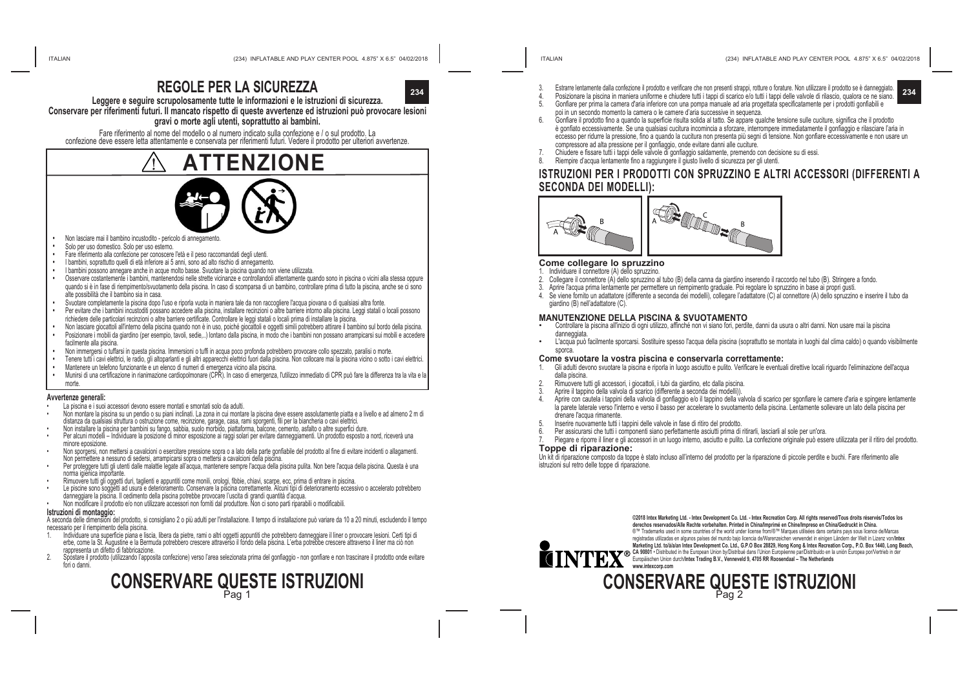## **REGOLE PER LA SICUREZZA**



**Leggere e seguire scrupolosamente tutte le informazioni e le istruzioni di sicurezza. Conservare per riferimenti futuri. Il mancato rispetto di queste avvertenze ed istruzioni può provocare lesioni** 

#### **gravi o morte agli utenti, soprattutto ai bambini.**

Fare riferimento al nome del modello o al numero indicato sulla confezione e / o sul prodotto. La confezione deve essere letta attentamente e conservata per riferimenti futuri. Vedere il prodotto per ulteriori avvertenze.



- Non lasciare mai il bambino incustodito pericolo di annegamento.
- Solo per uso domestico. Solo per uso esterno.
- **•**  Fare riferimento alla confezione per conoscere l'età e il peso raccomandati degli utenti.
- **•**  I bambini, soprattutto quelli di età inferiore ai 5 anni, sono ad alto rischio di annegamento.
- **•**  I bambini possono annegare anche in acque molto basse. Svuotare la piscina quando non viene utilizzata.
- **•**  Osservare costantemente i bambini, mantenendosi nelle strette vicinanze e controllandoli attentamente quando sono in piscina o vicini alla stessa oppure quando si è in fase di riempimento/svuotamento della piscina. In caso di scomparsa di un bambino, controllare prima di tutto la piscina, anche se ci sono alte possibilità che il bambino sia in casa.
- **•**  Svuotare completamente la piscina dopo l'uso e riporla vuota in maniera tale da non raccogliere l'acqua piovana o di qualsiasi altra fonte.
- **•** Per evitare che i bambini incustoditi possano accedere alla piscina, installare recinzioni o altre barriere intorno alla piscina. Leggi statali o locali possono richiedere delle particolari recinzioni o altre barriere certificate. Controllare le leggi statali o locali prima di installare la piscina.
- **•** Non lasciare giocattoli all'interno della piscina quando non è in uso, poiché giocattoli e oggetti simili potrebbero attirare il bambino sul bordo della piscina. **•** Posizionare i mobili da giardino (per esempio, tavoli, sedie,..) lontano dalla piscina, in modo che i bambini non possano arrampicarsi sui mobili e accedere facilmente alla piscina.
- **•** Non immergersi o tuffarsi in questa piscina. Immersioni o tuffi in acqua poco profonda potrebbero provocare collo spezzato, paralisi o morte.
- **•** Tenere tutti i cavi elettrici, le radio, gli altoparlanti e gli altri apparecchi elettrici fuori dalla piscina. Non collocare mai la piscina vicino o sotto i cavi elettrici.
- **•** Mantenere un telefono funzionante e un elenco di numeri di emergenza vicino alla piscina.
- **•** Munirsi di una certificazione in rianimazione cardiopolmonare (CPR). In caso di emergenza, l'utilizzo immediato di CPR può fare la differenza tra la vita e la morte.

#### **Avvertenze generali:**

- La piscina e i suoi accessori devono essere montati e smontati solo da adulti.
- Non montare la piscina su un pendio o su piani inclinati. La zona in cui montare la piscina deve essere assolutamente piatta e a livello e ad almeno 2 m di distanza da qualsiasi struttura o ostruzione come, recinzione, garage, casa, rami sporgenti, fili per la biancheria o cavi elettrici.
- Non installare la piscina per bambini su fango, sabbia, suolo morbido, piattaforma, balcone, cemento, asfalto o altre superfici dure.
- Per alcuni modelli Individuare la posizione di minor esposizione ai raggi solari per evitare danneggiamenti. Un prodotto esposto a nord, riceverà una minore eposizione.
- Non sporgersi, non mettersi a cavalcioni o esercitare pressione sopra o a lato della parte gonfiabile del prodotto al fine di evitare incidenti o allagamenti. Non permettere a nessuno di sedersi, arrampicarsi sopra o mettersi a cavalcioni della piscina.
- Per proteggere tutti gli utenti dalle malattie legate all'acqua, mantenere sempre l'acqua della piscina pulita. Non bere l'acqua della piscina. Questa è una norma igienica importante.
- Rimuovere tutti gli oggetti duri, taglienti e appuntiti come monili, orologi, fibbie, chiavi, scarpe, ecc, prima di entrare in piscina.
- Le piscine sono soggetti ad usura e deterioramento. Conservare la piscina correttamente. Alcuni tipi di deterioramento eccessivo o accelerato potrebbero danneggiare la piscina. Il cedimento della piscina potrebbe provocare l'uscita di grandi quantità d'acqua.
- Non modificare il prodotto e/o non utilizzare accessori non forniti dal produttore. Non ci sono parti riparabili o modificabili.

#### **Istruzioni di montaggio:**

A seconda delle dimensioni del prodotto, si consigliano 2 o più adulti per l'installazione. Il tempo di installazione può variare da 10 a 20 minuti, escludendo il tempo necessario per il riempimento della piscina.

- 1. Individuare una superficie piana e liscia, libera da pietre, rami o altri oggetti appuntiti che potrebbero danneggiare il liner o provocare lesioni. Certi tipi di erbe, come la St. Augustine e la Bermuda potrebbero crescere attraverso il fondo della piscina. L'erba potrebbe crescere attraverso il liner ma ciò non rappresenta un difetto di fabbricazione.
- 2. Spostare il prodotto (utilizzando l'apposita confezione) verso l'area selezionata prima del gonfiaggio non gonfiare e non trascinare il prodotto onde evitare fori o danni.

## **CONSERVARE QUESTE ISTRUZIONI** Pag 1

- **234 234** 4. Posizionare la piscina in maniera uniforme e chiudere tutti i tappi di scarico e/o tutti i tappi delle valvole di rilascio, qualora ce ne siano. 3. Estrarre lentamente dalla confezione il prodotto e verificare che non presenti strappi, rotture o forature. Non utilizzare il prodotto se è danneggiato.
	- 5. Gonfiare per prima la camera d'aria inferiore con una pompa manuale ad aria progettata specificatamente per i prodotti gonfiabili e
	- poi in un secondo momento la camera o le camere d'aria successive in sequenza.
	- 6. Gonfiare il prodotto fino a quando la superficie risulta solida al tatto. Se appare qualche tensione sulle cuciture, significa che il prodotto è gonfiato eccessivamente. Se una qualsiasi cucitura incomincia a sforzare, interrompere immediatamente il gonfiaggio e rilasciare l'aria in eccesso per ridurre la pressione, fino a quando la cucitura non presenta più segni di tensione. Non gonfiare eccessivamente e non usare un compressore ad alta pressione per il gonfiaggio, onde evitare danni alle cuciture.
	- 7. Chiudere e fissare tutti i tappi delle valvole di gonfiaggio saldamente, premendo con decisione su di essi.
	- 8. Riempire d'acqua lentamente fino a raggiungere il giusto livello di sicurezza per gli utenti.

### **ISTRUZIONI PER I PRODOTTI CON SPRUZZINO E ALTRI ACCESSORI (DIFFERENTI A SECONDA DEI MODELLI):**



#### **Come collegare lo spruzzino**

- 1. Individuare il connettore (A) dello spruzzino.
- 2. Collegare il connettore (A) dello spruzzino al tubo (B) della canna da giardino inserendo il raccordo nel tubo (B). Stringere a fondo.
- Aprire l'acqua prima lentamente per permettere un riempimento graduale. Poi regolare lo spruzzino in base ai propri gusti.
- 4. Se viene fornito un adattatore (differente a seconda dei modelli), collegare l'adattatore (C) al connettore (A) dello spruzzino e inserire il tubo da giardino (B) nell'adattatore (C).

#### **MANUTENZIONE DELLA PISCINA & SVUOTAMENTO**

- Controllare la piscina all'inizio di ogni utilizzo, affinché non vi siano fori, perdite, danni da usura o altri danni. Non usare mai la piscina danneggiata.
- <sup>L</sup>'acqua può facilmente sporcarsi. Sostituire spesso l'acqua della piscina (soprattutto se montata in luoghi dal clima caldo) o quando visibilmente sporca

## **Come svuotare la vostra piscina e conservarla correttamente:**<br>1 Gli adulti devono svuotare la piscina e riporla in luono asciutto e pulito Verificare le eventua

- 1. Gli adulti devono svuotare la piscina e riporla in luogo asciutto e pulito. Verificare le eventuali direttive locali riguardo l'eliminazione dell'acqua dalla piscina.
- 2. Rimuovere tutti gli accessori, i giocattoli, i tubi da giardino, etc dalla piscina.
- Aprire il tappino della valvola di scarico (differente a seconda dei modelli)).
- Aprire con cautela i tappini della valvola di gonfiaggio e/o il tappino della valvola di scarico per sgonfiare le camere d'aria e spingere lentamente la parete laterale verso l'interno e verso il basso per accelerare lo svuotamento della piscina. Lentamente sollevare un lato della piscina per drenare l'acqua rimanente.
- 5. Inserire nuovamente tutti i tappini delle valvole in fase di ritiro del prodotto.
- 6. Per assicurarsi che tutti i componenti siano perfettamente asciutti prima di ritirarli, lasciarli al sole per un'ora.
- Piegare e riporre il liner e gli accessori in un luogo interno, asciutto e pulito. La confezione originale può essere utilizzata per il ritiro del prodotto. **Toppe di riparazione:**

Un kit di riparazione composto da toppe è stato incluso all'interno del prodotto per la riparazione di piccole perdite e buchi. Fare riferimento alle istruzioni sul retro delle toppe di riparazione.



**©2018 Intex Marketing Ltd. - Intex Development Co. Ltd. - Intex Recreation Corp. All rights reserved/Tous droits réservés/Todos los derechos reservados/Alle Rechte vorbehalten. Printed in China/Imprimé en Chine/Impreso en China/Gedruckt in China.** ®™ Trademarks used in some countries of the world under license from/®™ Marques utilisées dans certains pays sous licence de/Marcas registradas utilizadas en algunos países del mundo bajo licencia de/Warenzeichen verwendet in einigen Ländern der Welt in Lizenz von/Intex<br>Marketing Ltd. tolálalan Intex Development Co. Ltd., G.P.O Box 28829, Hong Kong & I marketing tra. Colarian intex Development Co. Ltd., G.P.O Box 26823, Hong Kong & intex Recreation Corp., P.O. Box 1440, Long Beach,<br>CA 98001 • Distibuted in the European Union by/Distribué dans l'Union Européenne par/Distr

# **CONSERVARE QUESTE ISTRUZIONI** Pag 2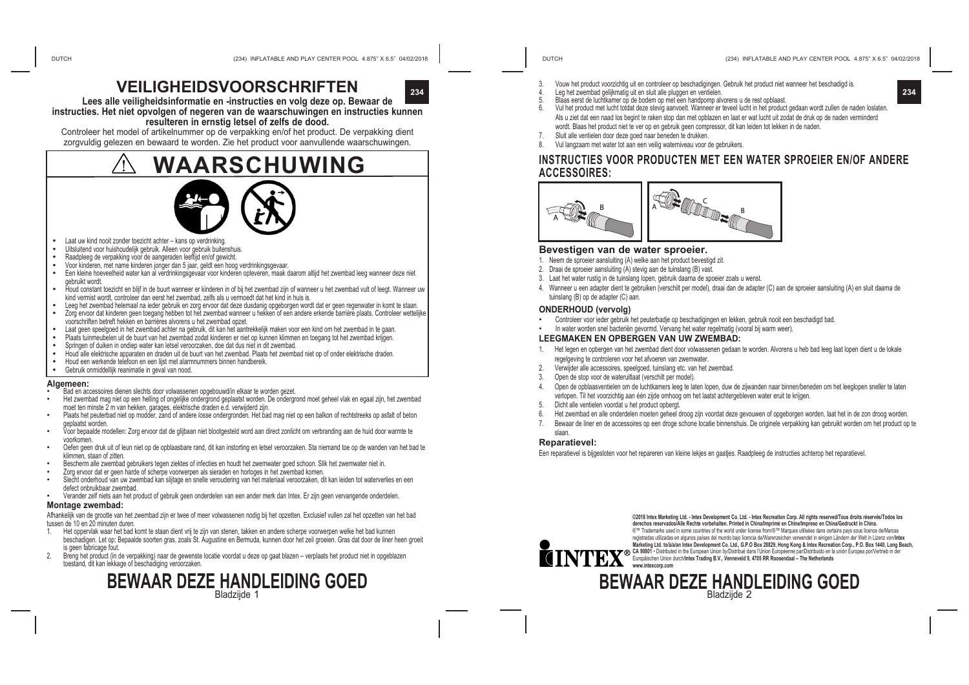## **VEILIGHEIDSVOORSCHRIFTEN**



**Lees alle veiligheidsinformatie en -instructies en volg deze op. Bewaar de instructies. Het niet opvolgen of negeren van de waarschuwingen en instructies kunnen resulteren in ernstig letsel of zelfs de dood.** 

Controleer het model of artikelnummer op de verpakking en/of het product. De verpakking dient zorgvuldig gelezen en bewaard te worden. Zie het product voor aanvullende waarschuwingen.

## **WAARSCHUWING**



- 
- 
- 
- 
- Laat uw kind nooit zonder toezicht achter kans op verdrinking.<br>
 Uitsluitend voor huishoudelijk gebruik. Alleen voor gebruik buitenshuis.<br>
 Raadpleeg de verpakking voor de aangeraden leeftijd en/of gewicht.<br>
 Voor k gebruikt wordt.
- **•** Houd constant toezicht en blijf in de buurt wanneer er kinderen in of bij het zwembad zijn of wanneer u het zwembad vult of leegt. Wanneer uw kind vermist wordt, controleer dan eerst het zwembad, zelfs als u vermoedt dat het kind in huis is.<br>Leeg het zwembad helemaal na ieder gebruik en zorg ervoor dat deze dusdanig opgeborgen wordt dat er geen regenwater in kom
- 
- Zorg ervoor dat kinderen geen toegang hebben tot het zwembad wanneer u hekken of een andere erkende barrière plaats. Controleer wettelijke voorschriften betreft hekken en barrières alvorens u het zwembad opzet.<br>Laat geen speelgoed in het zwembad achter na gebruik, dit kan het aantrekkelijk maken voor een kind om het zwembad in te gaan.
- 
- 
- 
- Plaats tuinmeubelen uit de buurt van het zwembad zodat kinderen er niet op kunnen klimmen en toegang tot het zwembad krijgen.<br>Springen of duiken in ondiep water kan letsel veroorzaken, doe dat dus niet in dit zwembad.<br>Houd
- 

#### **Algemeen:**

- Bad en accessoires dienen slechts door volwassenen opgebouwd/in elkaar te worden gezet.
- Het zwembad mag niet op een helling of ongelijke ondergrond geplaatst worden. De ondergrond moet geheel vlak en egaal zijn, het zwembad moet ten minste 2 m van hekken, garages, elektrische draden e.d. verwijderd zijn.
- Plaats het peuterbad niet op modder, zand of andere losse ondergronden. Het bad mag niet op een balkon of rechtstreeks op asfalt of beton geplaatst worden.
- Voor bepaalde modellen: Zorg ervoor dat de glijbaan niet blootgesteld word aan direct zonlicht om verbranding aan de huid door warmte te voorkomen.
- Oefen geen druk uit of leun niet op de opblaasbare rand, dit kan instorting en letsel veroorzaken. Sta niemand toe op de wanden van het bad te klimmen, staan of zitten.
- Bescherm alle zwembad gebruikers tegen ziektes of infecties en houdt het zwemwater goed schoon. Slik het zwemwater niet in.
- Zorg ervoor dat er geen harde of scherpe voorwerpen als sieraden en horloges in het zwembad komen.
- Slecht onderhoud van uw zwembad kan slijtage en snelle veroudering van het materiaal veroorzaken, dit kan leiden tot waterverlies en een defect onbruikbaar zwembad.
- Verander zelf niets aan het product of gebruik geen onderdelen van een ander merk dan Intex. Er zijn geen vervangende onderdelen.

#### **Montage zwembad:**

Afhankelijk van de grootte van het zwembad zijn er twee of meer volwassenen nodig bij het opzetten. Exclusief vullen zal het opzetten van het bad tussen de 10 en 20 minuten duren.

- 1. Het oppervlak waar het bad komt te staan dient vrij te zijn van stenen, takken en andere scherpe voorwerpen welke het bad kunnen beschadigen. Let op: Bepaalde soorten gras, zoals St. Augustine en Bermuda, kunnen door het zeil groeien. Gras dat door de liner heen groeit is geen fabricage fout.
- 2. Breng het product (in de verpakking) naar de gewenste locatie voordat u deze op gaat blazen verplaats het product niet in opgeblazen toestand, dit kan lekkage of beschadiging veroorzaken.



- 3. Vouw het product voorzichtig uit en controleer op beschadigingen. Gebruik het product niet wanneer het beschadigd is.
- **234 234** 4. Leg het zwembad gelijkmatig uit en sluit alle pluggen en ventielen.
	- 5. Blaas eerst de luchtkamer op de bodem op met een handpomp alvorens u de rest opblaast.
	- 6. Vul het product met lucht totdat deze stevig aanvoelt. Wanneer er teveel lucht in het product gedaan wordt zullen de naden loslaten. Als u ziet dat een naad los begint te raken stop dan met opblazen en laat er wat lucht uit zodat de druk op de naden verminderd wordt. Blaas het product niet te ver op en gebruik geen compressor, dit kan leiden tot lekken in de naden.
	- 7. Sluit alle ventielen door deze goed naar beneden te drukken.<br>8. Vul langzaam met water tot aan een veilig waterniveau voor.
	- Vul langzaam met water tot aan een veilig waterniveau voor de gebruikers.

#### **INSTRUCTIES VOOR PRODUCTEN MET EEN WATER SPROEIER EN/OF ANDERE ACCESSOIRES:**



#### **Bevestigen van de water sproeier.**

- 1. Neem de sproeier aansluiting (A) welke aan het product bevestigd zit.
- 2. Draai de sproeier aansluiting (A) stevig aan de tuinslang (B) vast.
- 3. Laat het water rustig in de tuinslang lopen, gebruik daarna de spoeier zoals u wenst.
- 4. Wanneer u een adapter dient te gebruiken (verschilt per model), draai dan de adapter (C) aan de sproeier aansluiting (A) en sluit daarna de tuinslang (B) op de adapter (C) aan.

#### **ONDERHOUD (vervolg)**

- Controleer voor ieder gebruik het peuterbadje op beschadigingen en lekken, gebruik nooit een beschadigd bad.
- In water worden snel bacteriën gevormd. Vervang het water regelmatig (vooral bij warm weer).

#### **LEEGMAKEN EN OPBERGEN VAN UW ZWEMBAD:**

- 1. Het legen en opbergen van het zwembad dient door volwassenen gedaan te worden. Alvorens u heb bad leeg laat lopen dient u de lokale regelgeving te controleren voor het afvoeren van zwemwater.
- Verwijder alle accessoires, speelgoed, tuinslang etc. van het zwembad
- 3. Open de stop voor de wateruitlaat (verschilt per model).
- Open de opblaasventielen om de luchtkamers leeg te laten lopen, duw de zijwanden naar binnen/beneden om het leeglopen sneller te laten verlopen. Til het voorzichtig aan één zijde omhoog om het laatst achtergebleven water eruit te krijgen.
- 5. Dicht alle ventielen voordat u het product opbergt.
- 6. Het zwembad en alle onderdelen moeten geheel droog zijn voordat deze gevouwen of opgeborgen worden, laat het in de zon droog worden.
- 7. Bewaar de liner en de accessoires op een droge schone locatie binnenshuis. De originele verpakking kan gebruikt worden om het product op te
- slaan.

#### **Reparatievel:**

Een reparatievel is bijgesloten voor het repareren van kleine lekjes en gaatjes. Raadpleeg de instructies achterop het reparatievel.



**©2018 Intex Marketing Ltd. - Intex Development Co. Ltd. - Intex Recreation Corp. All rights reserved/Tous droits réservés/Todos los derechos reservados/Alle Rechte vorbehalten. Printed in China/Imprimé en Chine/Impreso en China/Gedruckt in China.** ®™ Trademarks used in some countries of the world under license from/®™ Marques utilisées dans certains pays sous licence de/Marcas<br>registradas utilizadas en algunos países del mundo bajo licencia de/Warenzeichen verwende registradas utilizadas en algunos países del mundo bajo licencia de/Warenzeichen verwendet in einigen Ländern der Welt in Lizenz von/**Intex Marketing Ltd. to/à/a/an Intex Development Co. Ltd., G.P.O Box 28829, Hong Kong & Intex Recreation Corp., P.O. Box 1440, Long Beach,**  CA 90001 • Distributed in the European Union dyloistribue dans i Union Europeenne parroistributo en la union Europea porvertrieb in der<br>Europäischen Union durch/Intex Trading B.V., Venneveld 9, 4705 RR Roosendaal – The Net

### **BEWAAR DEZE HANDLEIDING GOED** Bladzijde 2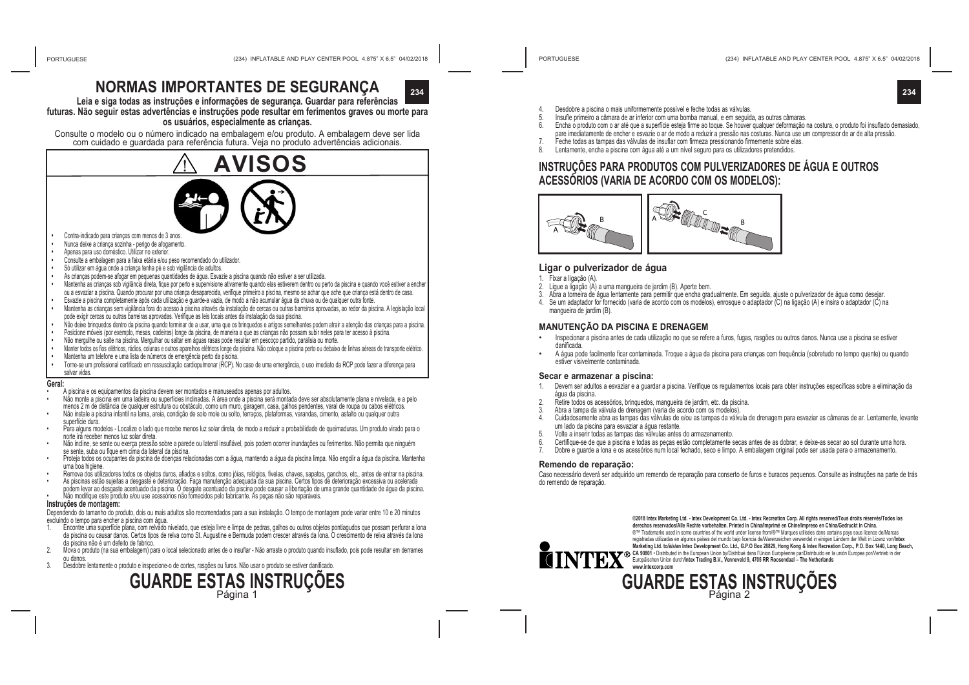**234 234**

## **NORMAS IMPORTANTES DE SEGURANÇA**

**Leia e siga todas as instruções e informações de segurança. Guardar para referências futuras. Não seguir estas advertências e instruções pode resultar em ferimentos graves ou morte para os usuários, especialmente as crianças.**

Consulte o modelo ou o número indicado na embalagem e/ou produto. A embalagem deve ser lida com cuidado e guardada para referência futura. Veja no produto advertências adicionais.



- Contra-indicado para crianças com menos de 3 anos. **•**  Nunca deixe a criança sozinha - perigo de afogamento.
- 
- Apenas para uso doméstico. Utilizar no exterior.
- **•**  Consulte a embalagem para a faixa etária e/ou peso recomendado do utilizador.
- Só utilizar em água onde a criança tenha pé e sob vigilância de adultos.
- As crianças podem-se afogar em pequenas quantidades de água. Esvazie a piscina quando não estiver a ser utilizada.
- **•**  Mantenha as crianças sob vigilância direta, fique por perto e supervisione ativamente quando elas estiverem dentro ou perto da piscina e quando você estiver a encher ou a esvaziar a piscina. Quando procurar por uma criança desaparecida, verifique primeiro a piscina, mesmo se achar que ache que criança está dentro de casa. Esvazie a piscina completamente após cada utilização e guarde-a vazia, de modo a não acumular água da chuva ou de qualquer outra fonte.
- **•** Mantenha as crianças sem vigilância fora do acesso à piscina através da instalação de cercas ou outras barreiras aprovadas, ao redor da piscina. A legislação local
- pode exigir cercas ou outras barreiras aprovadas. Verifique as leis locais antes da instalação da sua piscina.
- **•** Não deixe brinquedos dentro da piscina quando terminar de a usar, uma que os brinquedos e artigos semelhantes podem atrair a atenção das crianças para a piscina.
- **•** Posicione móveis (por exemplo, mesas, cadeiras) longe da piscina, de maneira a que as crianças não possam subir neles para ter acesso à piscina.
- **•** Não mergulhe ou salte na piscina. Mergulhar ou saltar em águas rasas pode resultar em pescoço partido, paralisia ou morte.
- **•** Manter todos os fios elétricos, rádios, colunas e outros aparelhos elétricos longe da piscina. Não coloque a piscina perto ou debaixo de linhas aéreas de transporte elétrico.
- **•** Mantenha um telefone e uma lista de números de emergência perto da piscina.
- **•** Torne-se um profissional certificado em ressuscitação cardiopulmonar (RCP). No caso de uma emergência, o uso imediato da RCP pode fazer a diferença para salvar vidas.

#### **Geral:**

- A piscina e os equipamentos da piscina devem ser montados e manuseados apenas por adultos.
- Não monte a piscina em uma ladeira ou superfícies inclinadas. A área onde a piscina será montada deve ser absolutamente plana e nivelada, e a pelo menos 2 m de distância de qualquer estrutura ou obstáculo, como um muro, garagem, casa, galhos pendentes, varal de roupa ou cabos elétricos. • Não instale a piscina infantil na lama, areia, condição de solo mole ou solto, terraços, plataformas, varandas, cimento, asfalto ou qualquer outra
- superfície dura.
- Para alguns modelos Localize o lado que recebe menos luz solar direta, de modo a reduzir a probabilidade de queimaduras. Um produto virado para o<br>norte irá receber menos luz solar direta.
- Não incline, se sente ou exerca pressão sobre a parede ou lateral insuflável, pois podem ocorrer inundações ou ferimentos. Não permita que ninguém se sente, suba ou fique em cima da lateral da piscina.
- Proteja todos os ocupantes da piscina de doenças relacionadas com a água, mantendo a água da piscina limpa. Não engolir a água da piscina. Mantenha uma boa higiene.<br>Remova dos utilizadores todos os objetos duros, afiados e soltos, como jóias, relógios, fivelas, chaves, sapatos, ganchos, etc., antes de entrar na piscina.
- 
- As piscinas estão sujeitas a desgaste e deterioração. Faça manutenção adequada da sua piscina. Certos tipos de deterioração excessiva ou acelerada podem levar ao desgaste acentuado da piscina. O desgate acentuado da piscina pode causar a libertação de uma grande quantidade de água da piscina.
- Não modifique este produto e/ou use acessórios não fornecidos pelo fabricante. As peças não são reparáveis. **Instruções de montagem:**

Dependendo do tamanho do produto, dois ou mais adultos são recomendados para a sua instalação. O tempo de montagem pode variar entre 10 e 20 minutos excluindo o tempo para encher a piscina com água.<br>1. Encontre uma superfície plana, com relvado nivelado, que esteia livre e limpa de pedras, galhos ou outros obetos pontiagualos que possam perfurar a lona

- da piscina ou causar danos. Certos tipos de relva como St. Augustine e Bermuda podem crescer através da lona. O crescimento de relva através da lona da piscina não é um defeito de fabrico.
- 2. Mova o produto (na sua embalagem) para o local selecionado antes de o insuflar Não arraste o produto quando insuflado, pois pode resultar em derrames ou danos.
- 3. Desdobre lentamente o produto e inspecione-o de cortes, rasgões ou furos. Não usar o produto se estiver danificado.

# **GUARDE ESTAS INSTRUÇÕES**<br> **GUARDE ESTAS INSTRUÇÕES**

- 4. Desdobre a piscina o mais uniformemente possível e feche todas as válvulas.
- 5. Insufle primeiro a câmara de ar inferior com uma bomba manual, e em seguida, as outras câmaras.
- 6. Encha o produto com o ar até que a superfície esteja firme ao toque. Se houver qualquer deformação na costura, o produto foi insuflado demasiado, pare imediatamente de encher e esvazie o ar de modo a reduzir a pressão nas costuras. Nunca use um compressor de ar de alta pressão.
- 7. Feche todas as tampas das válvulas de insuflar com firmeza pressionando firmemente sobre elas.<br>8. Lentamente encha a piscina com áqua até a um pível seguro para os utilizadores pretendidos. Lentamente, encha a piscina com água até a um nível seguro para os utilizadores pretendidos.
- **INSTRUÇÕES PARA PRODUTOS COM PULVERIZADORES DE ÁGUA E OUTROS ACESSÓRIOS (VARIA DE ACORDO COM OS MODELOS):**



#### **Ligar o pulverizador de água**

- 1. Fixar a ligação (A).
- 2. Ligue a ligação (A) a uma mangueira de jardim (B). Aperte bem.
- 3. Abra a torneira de água lentamente para permitir que encha gradualmente. Em seguida, ajuste o pulverizador de água como desejar.
- 4. Se um adaptador for fornecido (varia de acordo com os modelos), enrosque o adaptador (C) na ligação (A) e insira o adaptador (C) na mangueira de jardim (B).

#### **MANUTENÇÃO DA PISCINA E DRENAGEM**

- Inspecionar a piscina antes de cada utilização no que se refere a furos, fugas, rasgões ou outros danos. Nunca use a piscina se estiver danificada.
- A água pode facilmente ficar contaminada. Troque a água da piscina para crianças com frequência (sobretudo no tempo quente) ou quando estiver visivelmente contaminada.

#### **Secar e armazenar a piscina:**

- 1. Devem ser adultos a esvaziar e a guardar a piscina. Verifique os regulamentos locais para obter instruções específicas sobre a eliminação da água da piscina.
- 2. Retire todos os acessórios, brinquedos, mangueira de jardim, etc. da piscina.
- 3. Abra a tampa da válvula de drenagem (varia de acordo com os modelos).
- 4. Cuidadosamente abra as tampas das válvulas de e/ou as tampas da válvula de drenagem para esvaziar as câmaras de ar. Lentamente, levante um lado da piscina para esvaziar a água restante.
- 5. Volte a inserir todas as tampas das válvulas antes do armazenamento.
- 6. Certifique-se de que a piscina e todas as peças estão completamente secas antes de as dobrar, e deixe-as secar ao sol durante uma hora.
- 7. Dobre e guarde a lona e os acessórios num local fechado, seco e limpo. A embalagem original pode ser usada para o armazenamento.

#### **Remendo de reparação:**

Caso necessário deverá ser adquirido um remendo de reparação para conserto de furos e buracos pequenos. Consulte as instruções na parte de trás do remendo de reparação.



**©2018 Intex Marketing Ltd. - Intex Development Co. Ltd. - Intex Recreation Corp. All rights reserved/Tous droits réservés/Todos los derechos reservados/Alle Rechte vorbehalten. Printed in China/Imprimé en Chine/Impreso en China/Gedruckt in China.** ®™ Trademarks used in some countries of the world under license from/®™ Marques utilisées dans certains pays sous licence de/Marcas<br>
registrades unilizades en algunos países del mundo bajo licencia de/Warenzeichen verwend registradas utilizadas en algunos países del mundo bajo licencia de/Warenzeichen verwendet in einigen Ländern der Welt in Lizenz von/**Intex Marketing Ltd. to/à/a/an Intex Development Co. Ltd., G.P.O Box 28829, Hong Kong & Intex Recreation Corp., P.O. Box 1440, Long Beach,**  CA 90801 • Distributed in the European Union by/Distribue dans l'Union Europeenne par/Distributio en la union Europea por/Vertrieb in der<br>Europäischen Union durch/**intex Trading B.V., Venneveld 9, 4705 RR Roosendaal – The www.intexcorp.com**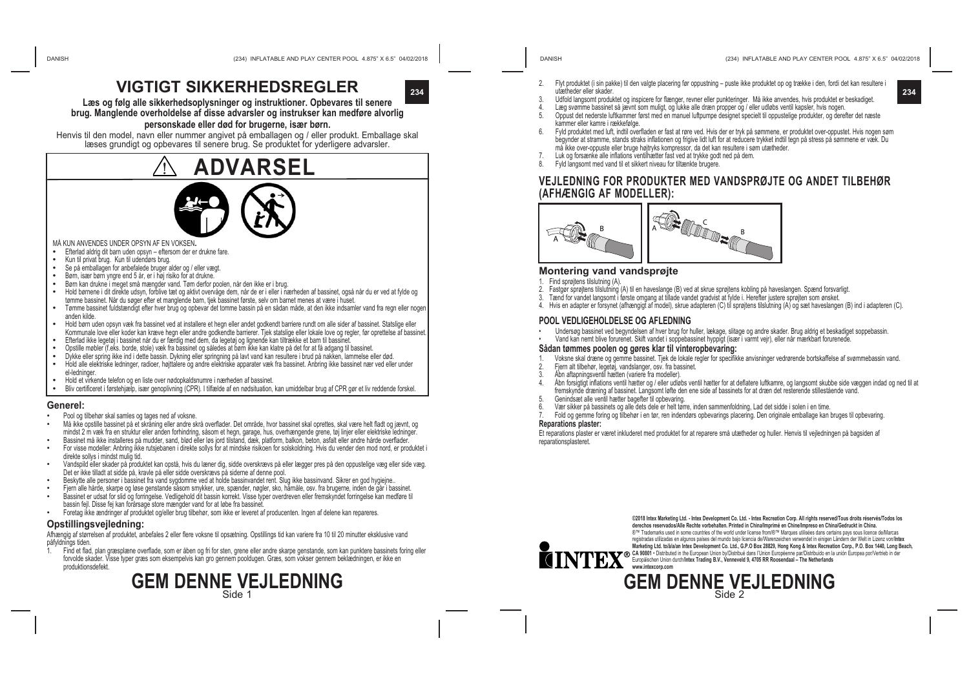**VIGTIGT SIKKERHEDSREGLER**

**Læs og følg alle sikkerhedsoplysninger og instruktioner. Opbevares til senere brug. Manglende overholdelse af disse advarsler og instrukser kan medføre alvorlig** 

#### **personskade eller død for brugerne, især børn.**

Henvis til den model, navn eller nummer angivet på emballagen og / eller produkt. Emballage skal læses grundigt og opbevares til senere brug. Se produktet for yderligere advarsler.

# **ADVARSEL**

- 
- 
- 
- 
- 
- MÅ KUN ANVENDES UNDER OPSYN AF EN VOKSEN.<br>
 Efterlad aldrig dit barn uden opsyn eftersom der er drukne fare.<br>
 Kun til privat brug. Kun til udendørs brug.<br>
 Se på emballagen for anbefalede bruger alder og / eller vægt tømme bassinet. Når du søger efter et manglende barn, tjek bassinet første, selv om barnet menes at være i huset.
- **•** Tømme bassinet fuldstændigt efter hver brug og opbevar det tomme bassin på en sådan måde, at den ikke indsamler vand fra regn eller nogen anden kilde.
- **•** Hold børn uden opsyn væk fra bassinet ved at installere et hegn eller andet godkendt barriere rundt om alle sider af bassinet. Statslige eller Kommunale love eller koder kan kræve hegn eller andre godkendte barrierer. Tjek statslige eller lokale love og regler, før oprettelse af bassinet.<br>Efterlad ikke legetøj i bassinet når du er færdig med dem, da legetøj og li
- 
- 
- Opstille møbler (f.eks. borde, stole) væk fra bassinet og således at børn ikke kan klatre på det for at få adgang til bassinet.<br>Dykke eller spring ikke ind i dette bassin. Dykning eller springning på lavt vand kan resulter
- el-ledninger.<br>Hold et virkende telefon og en liste over nødopkaldsnumre i nærheden af bassinet.
- Bliv certificeret i førstehjælp, især genoplivning (CPR). I tilfælde af en nødsituation, kan umiddelbar brug af CPR gør et liv reddende forskel

#### **Generel:**

- Pool og tilbehør skal samles og tages ned af voksne.
- Må ikke opstille bassinet på et skråning eller andre skrå overflader. Det område, hvor bassinet skal oprettes, skal være helt fladt og jævnt, og mindst 2 m væk fra en struktur eller anden forhindring, såsom et hegn, garage, hus, overhængende grene, tøj linjer eller elektriske ledninger.<br>Bassinet må ikke installeres på mudder, sand, blød eller løs jord tilstand, dæk
- For visse modeller: Anbring ikke rutsjebanen i direkte sollys for at mindske risikoen for solskoldning. Hvis du vender den mod nord, er produktet i direkte sollys i mindst mulig tid.
- Vandspild eller skader på produktet kan opstå, hvis du læner dig, sidde overskrævs på eller lægger pres på den oppustelige væg eller side væg. Det er ikke tilladt at sidde på, kravle på eller sidde overskrævs på siderne af denne pool.
- Beskytte alle personer i bassinet fra vand sygdomme ved at holde bassinvandet rent. Slug ikke bassinvand. Sikrer en god hygiejne.
- Fjern alle hårde, skarpe og løse genstande såsom smykker, ure, spænder, nøgler, sko, hårnåle, osv. fra brugerne, inden de går i bassinet.
- Bassinet er udsat for slid og forringelse. Vedligehold dit bassin korrekt. Visse typer overdreven eller fremskyndet forringelse kan medføre til bassin fejl. Disse fej kan forårsage store mængder vand for at løbe fra bassinet.
- Foretag ikke ændringer af produktet og/eller brug tilbehør, som ikke er leveret af producenten. Ingen af delene kan repareres.

#### **Opstillingsvejledning:**

Afhængig af størrelsen af produktet, anbefales 2 eller flere voksne til opsætning. Opstillings tid kan variere fra 10 til 20 minutter eksklusive vand påfyldnings tiden.

1. Find et flad, plan græsplæne overflade, som er åben og fri for sten, grene eller andre skarpe genstande, som kan punktere bassinets foring eller forvolde skader. Visse typer græs som eksempelvis kan gro gennem pooldugen. Græs, som vokser gennem beklædningen, er ikke en produktionsdefekt.



- 
- 2. Flyt produktet (i sin pakke) til den valgte placering før oppustning puste ikke produktet op og trække i den, fordi det kan resultere i utætheder eller skader.
- **234 234** 3. Udfold langsomt produktet og inspicere for flænger, revner eller punkteringer. Må ikke anvendes, hvis produktet er beskadiget.
	- Læg svømme bassinet så jævnt som muligt, og lukke alle dræn propper og / eller udløbs ventil kapsler, hvis nogen
	- 5. Oppust det nederste luftkammer først med en manuel luftpumpe designet specielt til oppustelige produkter, og derefter det næste kammer eller kamre i rækkefølge.
	- 6. Fyld produktet med luft, indtil overfladen er fast at røre ved. Hvis der er tryk på sømmene, er produktet over-oppustet. Hvis nogen søm begynder at stramme, stands straks inflationen og frigive lidt luft for at reducere trykket indtil tegn på stress på sømmene er væk. Du må ikke over-oppuste eller bruge højtryks kompressor, da det kan resultere i søm utætheder.
	- 7. Luk og forsænke alle inflations ventilhætter fast ved at trykke godt ned på dem.<br>8. Evid Jangsomt med vand til et sikkert niveau for tiltænkte brugere
	- 8. Fyld langsomt med vand til et sikkert niveau for tiltænkte brugere.

### **VEJLEDNING FOR PRODUKTER MED VANDSPRØJTE OG ANDET TILBEHØR (AFHÆNGIG AF MODELLER):**



#### **Montering vand vandsprøjte**

- 1. Find sprøjtens tilslutning (A).
- 2. Fastgør sprøjtens tilslutning (A) til en haveslange (B) ved at skrue sprøjtens kobling på haveslangen. Spænd forsvarligt.
- 3. Tænd for vandet langsomt i første omgang at tillade vandet gradvist at fylde i. Herefter justere sprøjten som ønsket.
- 4. Hvis en adapter er forsynet (afhængigt af model), skrue adapteren (C) til sprøjtens tilslutning (A) og sæt haveslangen (B) ind i adapteren (C).

#### **POOL VEDLIGEHOLDELSE OG AFLEDNING**

- Undersøg bassinet ved begyndelsen af hver brug for huller, lækage, slitage og andre skader. Brug aldrig et beskadiget soppebassin.
- Vand kan nemt blive forurenet. Skift vandet i soppebassinet hyppigt (især i varmt vejr), eller når mærkbart forurenede.

#### **Sådan tømmes poolen og gøres klar til vinteropbevaring:**

- 1. Voksne skal dræne og gemme bassinet. Tjek de lokale regler for specifikke anvisninger vedrørende bortskaffelse af svømmebassin vand.
- 2. Fjern alt tilbehør, legetøj, vandslanger, osv. fra bassinet.
- 3. Åbn aftapningsventil hætten (variere fra modeller).
- 4. Åbn forsigtigt inflations ventil hætter og / eller udløbs ventil hætter for at deflatere luftkamre, og langsomt skubbe side væggen indad og ned til at fremskynde dræning af bassinet. Langsomt løfte den ene side af bassinets for at dræn det resterende stillestående vand.
- 5. Genindsæt alle ventil hætter bagefter til opbevaring.
- 6. Vær sikker på bassinets og alle dets dele er helt tørre, inden sammenfoldning, Lad det sidde i solen i en time.
- 7. Fold og gemme foring og tilbehør i en tør, ren indendørs opbevarings placering. Den originale emballage kan bruges til opbevaring. **Reparations plaster:**

Et reparations plaster er været inkluderet med produktet for at reparere små utætheder og huller. Henvis til vejledningen på bagsiden af reparationsplasteret.



**©2018 Intex Marketing Ltd. - Intex Development Co. Ltd. - Intex Recreation Corp. All rights reserved/Tous droits réservés/Todos los derechos reservados/Alle Rechte vorbehalten. Printed in China/Imprimé en Chine/Impreso en China/Gedruckt in China.** ®™ Trademarks used in some countries of the world under license from/®™ Marques utilisées dans certains pays sous licence de/Marcas (®™ Trademarks used in some countries of the world under license from/®™ Marques utilisée registradas utilizadas en algunos países del mundo bajo licencia de/Warenzeichen verwendet in einigen Ländern der Welt in Lizenz von/**Intex Marketing Ltd. to/à/a/an Intex Development Co. Ltd., G.P.O Box 28829, Hong Kong & Intex Recreation Corp., P.O. Box 1440, Long Beach,**  CA 90801 • Uistricuted in the European Union by/Uistricue dans l'Union Europeenne par/Uistriculod en la union Europea por/Vertrieb in der<br>Europäischen Union durch/Intex Trading B.V., Venneveld 9, 4705 RR Roosendaal – The N

## **GEM DENNE VEJLEDNING** Side 2

(234) INFLATABLE AND PLAY CENTER POOL 4.875" X 6.5" 04/02/2018 (234) INFLATABLE AND PLAY CENTER POOL 4.875" X 6.5" 04/02/2018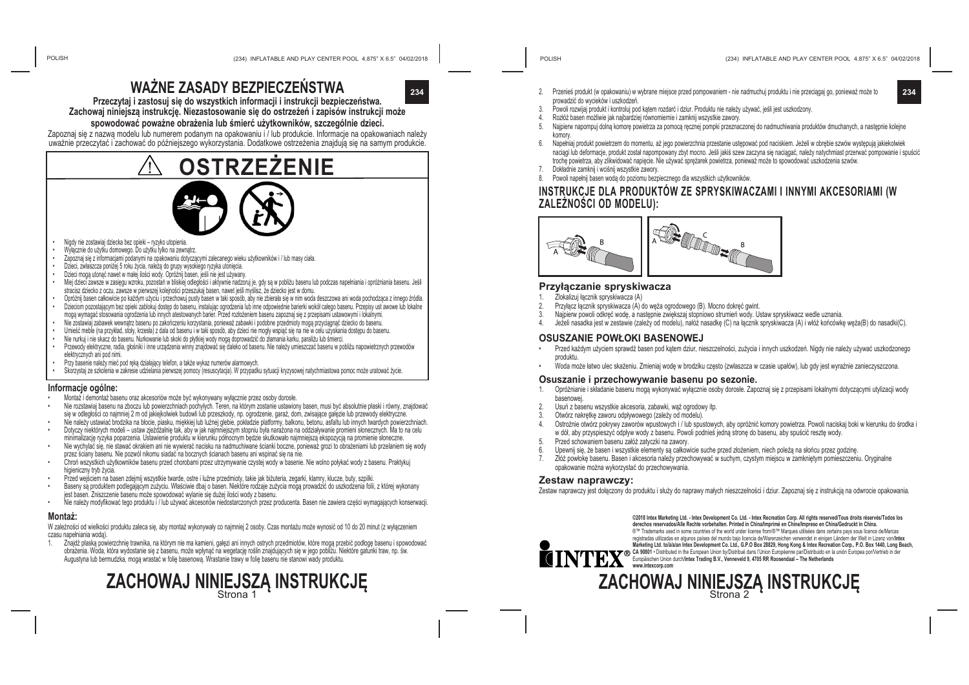## **WAŻNE ZASADY BEZPIECZEŃSTWA**



**Przeczytaj i zastosuj się do wszystkich informacji i instrukcji bezpieczeństwa. Zachowaj niniejszą instrukcję. Niezastosowanie się do ostrzeżeń i zapisów instrukcji może**

#### **spowodować poważne obrażenia lub śmierć użytkowników, szczególnie dzieci.**

Zapoznaj się z nazwą modelu lub numerem podanym na opakowaniu i / lub produkcie. Informacje na opakowaniach należy uważnie przeczytać i zachować do późniejszego wykorzystania. Dodatkowe ostrzeżenia znajdują się na samym produkcie.

# **OSTRZEŻENIE**

- Nigdy nie zostawiaj dziecka bez opieki ryzyko utopienia.
- Wyłącznie do użytku domowego. Do użytku tylko na zewnątrz.
- Zapoznaj się z informacjami podanymi na opakowaniu dotyczącymi zalecanego wieku użytkowników i / lub masy ciała.
- Dzieci, zwłaszcza poniżej 5 roku życia, należą do grupy wysokiego ryzyka utonięcia.
- Dzieci mogą utonąć nawet w małej ilości wody. Opróżnij basen, jeśli nie jest używany.
- Miej dzieci zawsze w zasięgu wzroku, pozostań w bliskiej odległości i aktywnie nadzoruj je, gdy są w pobliżu basenu lub podczas napełniania i opróżniania basenu. Jeśli stracisz dziecko z oczu, zawsze w pierwszej kolejności przeszukaj basen, nawet jeśli myślisz, że dziecko jest w domu.
- Opróżnij basen całkowicie po każdym użyciu i przechowuj pusty basen w taki sposób, aby nie zbierała się w nim woda deszczowa ani woda pochodząca z innego źródła. • Dzieciom pozostającym bez opieki zablokuj dostęp do basenu, instalując ogrodzenia lub inne odpowiednie barierki wokół całego basenu. Przepisy ust awowe lub lokalne
- mogą wymagać stosowania ogrodzenia lub innych atestowanych barier. Przed rozłożeniem basenu zapoznaj się z przepisami ustawowymi i lokalnymi.
- Nie zostawiaj zabawek wewnątrz basenu po zakończeniu korzystania, ponieważ zabawki i podobne przedmioty mogą przyciągnąć dziecko do basenu.
- Umieść meble (na przykład, stoły, krzesła) z dala od basenu i w taki sposób, aby dzieci nie mogły wspiąć się na nie w celu uzyskania dostępu do basenu.
- Nie nurkuj i nie skacz do basenu. Nurkowanie lub skoki do płytkiej wody mogą doprowadzić do złamania karku, paraliżu lub śmierci.
- Przewody elektryczne, radia, głośniki i inne urządzenia winny znajdować się daleko od basenu. Nie należy umieszczać basenu w pobliżu napowietrznych przewodów elektrycznych ani pod nimi.
- Przy basenie należy mieć pod ręką działający telefon, a także wykaz numerów alarmowych.
- Skorzystaj ze szkolenia w zakresie udzielania pierwszej pomocy (resuscytacja). W przypadku sytuacji kryzysowej natychmiastowa pomoc może uratować życie.

#### **Informacje ogólne:**

- Montaż i demontaż basenu oraz akcesoriów może być wykonywany wyłącznie przez osoby dorosłe.
- Nie rozstawiaj basenu na zboczu lub powierzchniach pochyłych. Teren, na którym zostanie ustawiony basen, musi być absolutnie płaski i równy, znajdować się w odległości co najmniej 2 m od jakiejkolwiek budowli lub przeszkody, np. ogrodzenie, garaż, dom, zwisające gałęzie lub przewody elektryczne.
- Nie należy ustawiać brodzika na błocie, piasku, miękkiej lub luźnej glebie, pokładzie platformy, balkonu, betonu, asfaltu lub innych twardych powierzchniach. • Dotyczy niektórych modeli – ustaw zjeżdżalnię tak, aby w jak najmniejszym stopniu była narażona na oddziaływanie promieni słonecznych. Ma to na celu
- minimalizację ryzyka poparzenia. Ustawienie produktu w kierunku północnym będzie skutkowało najmniejszą ekspozycją na promienie słoneczne. • Nie wychylać się, nie stawać okrakiem ani nie wywierać nacisku na nadmuchiwane ścianki boczne, ponieważ grozi to obrażeniami lub przelaniem się wody
- przez ściany basenu. Nie pozwól nikomu siadać na bocznych ścianach basenu ani wspinać się na nie.
- Chroń wszystkich użytkowników basenu przed chorobami przez utrzymywanie czystej wody w basenie. Nie wolno połykać wody z basenu. Praktykuj higieniczny tryb życia.
- Przed wejściem na basen zdejmij wszystkie twarde, ostre i luźne przedmioty, takie jak biżuteria, zegarki, klamry, klucze, buty, szpilki.
- Baseny są produktem podlegającym zużyciu. Właściwie dbaj o basen. Niektóre rodzaje zużycia mogą prowadzić do uszkodzenia folii, z której wykonany jest basen. Zniszczenie basenu może spowodować wylanie się dużej ilości wody z basenu.
- Nie należy modyfikować tego produktu i / lub używać akcesoriów niedostarczonych przez producenta. Basen nie zawiera części wymagających konserwacji.

#### **Montaż:**

W zależności od wielkości produktu zaleca się, aby montaż wykonywały co najmniej 2 osoby. Czas montażu może wynosić od 10 do 20 minut (z wyłączeniem czasu napełniania wodą).

1. Znajdź płaską powierzchnię trawnika, na którym nie ma kamieni, gałęzi ani innych ostrych przedmiotów, które mogą przebić podłogę basenu i spowodować obrażenia. Woda, która wydostanie się z basenu, może wpłynąć na wegetację roślin znajdujących się w jego pobliżu. Niektóre gatunki traw, np. św. Augustyna lub bermudzka, mogą wrastać w folię basenową. Wrastanie trawy w folię basenu nie stanowi wady produktu.



prowadzić do wycieków i uszkodzeń.

7. Dokładnie zamknij i wciśnij wszystkie zawory.

**ZALEŻNOŚCI OD MODELU):**

**Przyłączanie spryskiwacza** 1. Zlokalizuj łącznik spryskiwacza (A)<br>2. Przyłacz łacznik spryskiwacza (A)

**OSUSZANIE POWŁOKI BASENOWEJ**

2. Usuń z basenu wszystkie akcesoria, zabawki, wąż ogrodowy itp.<br>3. Otwórz pakretke zaworu odpływowego (zależy od modelu) 3. Otwórz nakrętkę zaworu odpływowego (zależy od modelu).

5. Przed schowaniem basenu załóż zatyczki na zawory.

opakowanie można wykorzystać do przechowywania.

(234) INFLATABLE AND PLAY CENTER POOL 4.875" X 6.5" 04/02/2018 (234) INFLATABLE AND PLAY CENTER POOL 4.875" X 6.5" 04/02/2018

**ZACHOWAJ NINIEJSZĄ INSTRUKCJĘ** 

Zestaw naprawczy jest dołączony do produktu i służy do naprawy małych nieszczelności i dziur. Zapoznaj się z instrukcją na odwrocie opakowania.

**©2018 Intex Marketing Ltd. - Intex Development Co. Ltd. - Intex Recreation Corp. All rights reserved/Tous droits réservés/Todos los derechos reservados/Alle Rechte vorbehalten. Printed in China/Imprimé en Chine/Impreso en China/Gedruckt in China.** ®™ Trademarks used in some countries of the world under license from/®™ Marques utilisées dans certains pays sous licence de/Marcas registradas utilizadas en algunos países del mundo bajo licencia de/Warenzeichen verwendet in einigen Ländern der Welt in Lizenz von/**Intex**  marketing tra. Colarian intex Development Co. Ltd., G.P.O Box 26823, Hong Kong & intex Recreation Corp., P.O. Box 1440, Long Beach,<br>CA 98001 • Distibuted in the European Union by/Distribué dans l'Union Européenne par/Distr

4. Rozłóż basen możliwie jak najbardziej równomiernie i zamknij wszystkie zawory.

8. Powoli napełnij basen wodą do poziomu bezpiecznego dla wszystkich użytkowników.

2. Przyłącz łącznik spryskiwacza (A) do węża ogrodowego (B). Mocno dokręć gwint.

**Osuszanie i przechowywanie basenu po sezonie.**

3. Najpierw powoli odkręć wodę, a następnie zwiększaj stopniowo strumień wody. Ustaw spryskiwacz wedle uznania.

w dół, aby przyspieszyć odpływ wody z basenu. Powoli podnieś jedną stronę do basenu, aby spuścić resztę wody.

Upewnij się, że basen i wszystkie elementy są całkowicie suche przed złożeniem, niech poleżą na słońcu przez godzinę 7. Złóż powłokę basenu. Basen i akcesoria należy przechowywać w suchym, czystym miejscu w zamkniętym pomieszczeniu. Oryginalne

3. Powoli rozwijaj produkt i kontroluj pod kątem rozdarć i dziur. Produktu nie należy używać, jeśli jest uszkodzony.

 $\mathbf{B}$   $\mathbf{A} \mathbf{B}$   $\mathbf{B}$ 

5. Najpierw napompuj dolną komorę powietrza za pomocą ręcznej pompki przeznaczonej do nadmuchiwania produktów dmuchanych, a następnie kolejne

6. Napełniaj produkt powietrzem do momentu, aż jego powierzchnia przestanie ustępować pod naciskiem. Jeżeli w obrębie szwów występują jakiekolwiek naciągi lub deformacje, produkt został napompowany zbyt mocno. Jeśli jakiś szew zaczyna się naciągać, należy natychmiast przerwać pompowanie i spuścić

**INSTRUKCJE DLA PRODUKTÓW ZE SPRYSKIWACZAMI I INNYMI AKCESORIAMI (W** 

4. Jeżeli nasadka jest w zestawie (zależy od modelu), nałóż nasadkę (C) na łącznik spryskiwacza (A) i włóż końcówkę węża(B) do nasadki(C).

• Przed każdym użyciem sprawdź basen pod kątem dziur, nieszczelności, zużycia i innych uszkodzeń. Nigdy nie należy używać uszkodzonego

• Woda może łatwo ulec skażeniu. Zmieniaj wodę w brodziku często (zwłaszcza w czasie upałów), lub gdy jest wyraźnie zanieczyszczona.

1. Opróżnianie i składanie basenu mogą wykonywać wyłącznie osoby dorosłe. Zapoznaj się z przepisami lokalnymi dotyczącymi utylizacji wody

4. Ostrożnie otwórz pokrywy zaworów wpustowych i / lub spustowych, aby opróżnić komory powietrza. Powoli naciskaj boki w kierunku do środka i

trochę powietrza, aby zlikwidować napięcie. Nie używać sprężarek powietrza, ponieważ może to spowodować uszkodzenia szwów.

komon

A

produktu.

basenowej.

**Zestaw naprawczy:**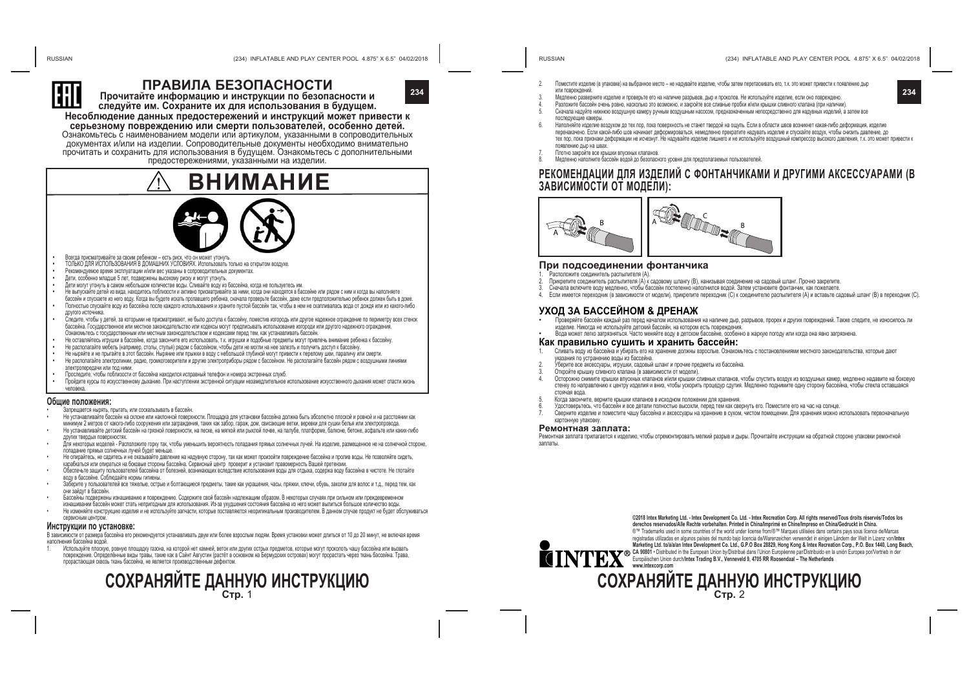The Customs union Commission has approved by its Decision of 15.07.2011 No.711  $G$ raphic representation of the single mark and "Regulation on the single mark for  $\mathcal{R}$ products circulation in the market of the Customs union member-states and its usage".



## **ПРАВИЛА БЕЗОПАСНОСТИ**



**Прочитайте информацию и инструкции по безопасности и следуйте им. Сохраните их для использования в будущем.**

**Несоблюдение данных предостережений и инструкций может привести к** <sub>д</sub> серьезному повреждению или смерти пользователей, особенно детей. Ознакомьтесь с наименованием модели или артикулом, указанными в сопроводительных документах и/или на изделии. Сопроводительные документы необходимо внимательно прочитать и сохранить для использования в будущем. Ознакомьтесь с дополнительными предостережениями, указанными на изделии.



- **Всегда присматривайте за своим ребенком есть риск, что он может утонуть.**
- **•**  ТОЛЬКО ДЛЯ ИСПОЛЬЗОВАНИЯ В ДОМАШНИХ УСЛОВИЯХ. Использовать только на открытом воздухе.
- Рекомендуемое время эксплуатации и/или вес указаны в сопроводительных документах.
- **•**  Дети, особенно младше 5 лет, подвержены высокому риску и могут утонуть.
- **•**  Дети могут утонуть в самом небольшом количестве воды. Сливайте воду из бассейна, когда не пользуетесь им.
- **•**  Не выпускайте детей из вида, находитесь поблизости и активно присматривайте за ними, когда они находятся в бассейне или рядом с ним и когда вы наполняете
- бассейн и спускаете из него воду. Когда вы будете искать пропавшего ребенка, сначала проверьте бассейн, даже если предположительно ребенок должен быть в доме. **•**  Полностью спускайте воду из бассейна после каждого использования и храните пустой бассейн так, чтобы в нем не скапливалась вода от дождя или из какого-либо
- другого источника.
- **•** Следите, чтобы у детей, за которыми не присматривают, не было доступа к бассейну, поместив изгородь или другое надежное ограждение по периметру всех стенок бассейна. Государственное или местное законодательство или кодексы могут предписывать использование изгороди или другого надежного ограждения. Ознакомьтесь с государственным или местным законодательством и кодексами перед тем, как устанавливать бассейн.
- **•** Не оставляйтесь игрушки в бассейне, когда закончите его использовать, т.к. игрушки и подобные предметы могут привлечь внимание ребенка к бассейну.
- **•** Не располагайте мебель (например, столы, стулья) рядом с бассейном, чтобы дети не могли на нее залезть и получить доступ к бассейну.
- **•** Не ныряйте и не прыгайте в этот бассейн. Ныряние или прыжки в воду с небольшой глубиной могут привести к перелому шеи, параличу или смерти.
- **•** Не располагайте электролинии, радио, громкоговорители и другие электроприборы рядом с бассейном. Не располагайте бассейн рядом с воздушными линиями электропередачи или под ними.
- **•** Проследите, чтобы поблизости от бассейна находился исправный телефон и номера экстренных служб.
- **•** Пройдите курсы по искусственному дыханию. При наступлении экстренной ситуации незамедлительное использование искусственного дыхания может спасти жизнь человека.

#### **Общие положения:**

- .<br>Вапрещается нырять, прыгать, или соскальзывать в бассейн.
- Не устанавливайте бассейн на склоне или наклонной поверхности. Площадка для установки бассейна должна быть абсолютно плоской и ровной и на расстоянии как.<br>минимум 2 метров от какого-либо сооружения или заграждения, таких
- Не устанавливайте детский бассейн на грязной поверхности, на песке, на мягкой или рыхлой почве, на палубе, платформе, балконе, бетоне, асфальте или каких-либо
- других твердых поверхностях.<br>Для некоторых моделей Расположите горку так, чтобы уменьшить вероятность попадания прямых солнечных лучей. На<br>попадание прямых солнечных лучей булет меньше
- Не опирайтесь, не садитесь и не оказывайте давление на надувную сторону, так как может произойти повреждение бассейна и пролив воды. Не позволяйте сидеть, карабкаться или опираться на боковые стороны бассейна. Сервисный центр проверит и установит правомерность Вашей претензии.
- Обеспечьте защиту пользователей бассейна от болезней, возникающих вследствие использования воды для отдыха, содержа воду бассейна в чистоте. Не глотайте<br>волу в бассейне. Соблюлайте ноомы гигиены.
- воду в соблюдают в бассейне. Соблюдайте нормальное предметы, такие как украшения, часы, пряжки, ключи, обувь, заколки для волос и т.д., перед тем, как<br>Они зайлут в бассейн.
- Бассейны подвержены изнашиванию и повреждению. Содержите свой бассейн надлежащим образом. В некоторых случаях при сильном или преждевременном<br>изнашивании бассейн может стать непоигодным для использования. Из-за хухдшения
- Не изменяйте конструкцию изделия и не используйте запчасти, которые поставляются неорилинальным производителем. В данном случае продукт не будет обслуживаться сервисным центром.

**Инструкции по установке:**

В зависимости от размера бассейна его рекомендуется устанавливать двум или более взрослым людям. Время установки может длиться от 10 до 20 минут, не включая время наполнения бассейна водой.

используите плоскую, ровную площадку газона, на которои нет камнеи, веток или других острых предметов, которые могут проколоть чашу оассеина или вызвать<br>повреждение. Определённые виды травы, такие как в Сэйнт Августин (ра прорастающая сквозь ткань бассейна, не является производственным дефектом.

# **СОХРАНЯЙТЕ ДАННУЮ ИНСТРУКЦИЮ Стр.**<sup>1</sup>

- 2. Поместите изделие (в упаковке) на выбранное место не надувайте изделие, чтобы затем перетаскивать его, т.к. это может привести к появлению дыр или повреждений.
- **234 234** 3. Медленно разверните изделие и проверьте его на наличие разрывов, дыр и проколов. Не используйте изделие, если оно повреждено.
	- 4. Разложите бассейн очень ровно, насколько это возможно, и закройте все сливные пробки и/или крышки сливного клапана (при наличии).
	- 5. Сначала надуйте нижнюю воздушную камеру ручным воздушным насосом, предназначенным непосредственно для надувных изделий, а затем все последующие камеры.
	- 6. Наполняйте изделие воздухом до тех пор, пока поверхность не станет твердой на ощупь. Если в области швов возникнет какая-либо деформация, изделие перенакачено. Если какой-либо шов начинает деформироваться, немедленно прекратите надувать изделие и спускайте воздух, чтобы снизить давление, до тех пор, пока признаки деформации не исчезнут. Не надувайте изделие лишнего и не используйте воздушный компрессор высокого давления, т.к. это может привести к появлению дыр на швах.
	- 7. Плотно закройте все крышки впускных клапанов.
	- 8. Медленно наполните бассейн водой до безопасного уровня для предполагаемых пользователей.

### **РЕКОМЕНДАЦИИ ДЛЯ ИЗДЕЛИЙ С ФОНТАНЧИКАМИ И ДРУГИМИ АКСЕССУАРАМИ (В ЗАВИСИМОСТИ ОТ МОДЕЛИ):**



#### **При подсоединении фонтанчика**

- 
- и Расположите соединитель распылителя (А).<br>Прикрепите соединитель распылителя (А) к садовому шлангу (В), нанизывая соединение на садовый шланг. Прочно закрепите.
- Сначала включите воду медленно, чтобы бассейн постепенно наполнился водой. Затем установите фонтанчик, как пожелаете.
- Если имеется переходник (в зависимости от модели), прикрепите переходник (С) к соединителю распылителя (А) и вставьте садовый шланг (В) в переходник (С).

- **УХОД ЗА БАССЕЙНОМ & ДРЕНАЖ**<br>• Проверяйте бассейн каждый раз перед началом использования на наличие дыр, разрывов, прорех и других повреждений. Также следите, не износилось ли<br>• изделие. Никогда не используйте детский бас
	- изделие. Никогда не используйте детский бассейн, на котором есть повреждения.<br>• Вода может легко загрязняться. Часто меняйте воду в детском бассейне, особенно в жаркую погоду или когда она явно загрязнена

#### **Как правильно сушить и xранить бассейн:**

- 1. Сливать воду из бассейна и убирать его на хранение должны взрослые. Ознакомьтесь с постановлениями местного законодательства, которые дают указания по устранению воды из бассейна.<br>Уберите все аксессуары, игрушки, садовый шланг и прочие предметы из бассейна
- 
- Откройте крышку сливного клапана (в зависимости от модели).
- 4. Осторожно снимите крышки впускных клапанов и/или крышки сливных клапанов, чтобы спустить воздух из воздушных камер, медленно надавите на боковую стенку по направлению к центру изделия и вниз, чтобы ускорить процедур сдутия. Медленно поднимите одну сторону бассейна, чтобы стекла оставшаяся стоячая вода.<br>Когда закончите, верните крышки клапанов в исходном положении для хранения.
- 
- 5. Когда закончите, верните крышки клапанов в исходном положении для хранения. 6. Удостоверьтесь, что бассейн и все детали полностью высохли, перед тем как свернуть его. Поместите его на час на солнце.
- 7. Сверните изделие и поместите чашу бассейна и аксессуары на хранение в сухом, чистом помещении. Для хранения можно использовать первоначальную картонную упаковку.

#### **Ремонтная заплата:**

Ремонтная заплата прилагается к изделию, чтобы отремонтировать мелкий разрыв и дыры. Прочитайте инструкции на обратной стороне упаковки ремонтной заплаты.



**©2018 Intex Marketing Ltd. - Intex Development Co. Ltd. - Intex Recreation Corp. All rights reserved/Tous droits réservés/Todos los derechos reservados/Alle Rechte vorbehalten. Printed in China/Imprimé en Chine/Impreso en China/Gedruckt in China.** ®™ Trademarks used in some countries of the world under license from/®™ Marques utilisées dans certains pays sous licence de/Marcas registradas utilizadas en algunos países del mundo bajo licencia de/Warenzeichen verwendet in einigen Ländern der Welt in Lizenz von/**Intex Marketing Ltd. to/à/a/an Intex Development Co. Ltd., G.P.O Box 28829, Hong Kong & Intex Recreation Corp., P.O. Box 1440, Long Beach,**  CA 90001 • Distributed in the European Union dyloistribue dans i Union Europeenne parroistributo en la union Europea porvertrieb in der<br>Europäischen Union durch/Intex Trading B.V., Venneveld 9, 4705 RR Roosendaal – The Net

# **СОХРАНЯЙТЕ ДАННУЮ ИНСТРУКЦИЮ Стр.**<sup>2</sup>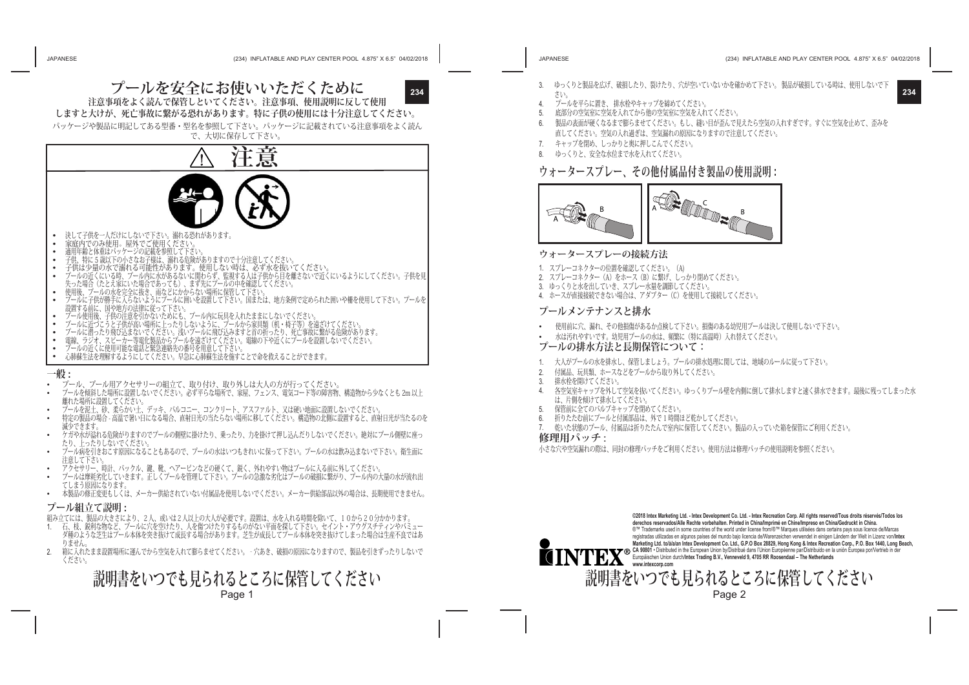**プールを安全にお使いいただくために 注意事項をよく読んで保管しといてください。注意事項、使用説明に反して使用**



**しますと大けが、死亡事故に繋がる恐れがあります。特に子供の使用には十分注意してください。** パッケージや製品に明記してある型番・型名を参照して下さい。パッケージに記載されている注意事項をよく読ん

で、大切に保存して下さい。



- 
- 
- デールに子供が勝手に入らないようにプールに囲いを設置して下さい。 国または、 地方条例で定められた囲いや柵を使用して下さい。 プールを 。<br>設置する前に、国や地方の法律に従って下さい。<br>ブール使用後、子供の注意を引かないためにも、プール内に玩具を入れたままにしないでください
- 
- 
- **・ メールに加ふ、1**8%に最も71%。8、1.8〜8、メッタワースで、2、2、3、2、3、4、椅子等)を遠ざけてください。<br>・ ブールに近づこうと子供が高い場所に上ったりしないように、ブールから家具類(机・椅子等)を遠ざけてください。<br>・ 電線、ラジオ、スピーカー等電化製品からプールを遠ざけてください。電線の下や近くにブールを設置しないでください。<br>・ ブールの近くに使用可能な電話と緊急連絡先の番号を用意して下さい。<br>・ 心肺蘇生
- 
- 
- 

#### **一般 :**

- プール、プール用アクセサリーの組立て、取り付け、取り外しは大人の方が行ってください。
- プールを傾斜した場所に設置しないでください。必ず平らな場所で、家屋、フェンス、電気コード等の障害物、構造物から少なくとも 2m 以上 離れた場所に設置してください。
- 
- プールを泥土、砂、柔らかい土、デッキ、バルコニー、コンクリート、アスファルト、又は硬い地面に設置しないでください。 特定の製品の場合 高温で暑い日になる場合、直射日光の当たらない場所に移してください。構造物の北側に設置すると、直射日光が当たるのを 減少できます。
- ケガや水が溢れる危険がりますのでプールの側壁に掛けたり、乗ったり、力を掛けて押し込んだりしないでください。絶対にプール側壁に座っ
- たり、上ったりしないでください。 プール病を引きおこす原因になることもあるので、プールの水はいつもきれいに保って下さい。プールの水は飲み込まないで下さい。衛生面に 注意して下さい。
- アクセサリー、時計、バックル、鍵、靴、ヘアーピンなどの硬くて、鋭く、外れやすい物はプールに入る前に外してください
- プールは摩耗劣化していきます。正しくプールを管理して下さい。プールの急激な劣化はプールの破損に繋がり、プール内の大量の水が流れ出 てしまう原因になります。
- 本製品の修正変更もしくは、メーカー供給されていない付属品を使用しないでください。メーカー供給部品以外の場合は、長期使用できません。

#### **プール組立て説明 :**

- 組み立てには、製品の大きさにより、2人、或いは2人以上の大人が必要です。設置は、水を入れる時間を除いて、10から20分かかります。
- 1. 石、枝、鋭利な物など、プールに穴を空けたり、人を傷つけたりするものがない平面を探して下さい。セイント・アウグスチティンやバミュー ダ種のような芝生はプール本体を突き抜けて成長する場合があります。芝生が成長してプール本体を突き抜けてしまった場合は生産不良ではあ
- りません。<br>2. 箱に入れ 2. 箱に入れたまま設置場所に運んでから空気を入れて膨らませてください。‐穴あき、破損の原因になりますので、製品を引きずったりしないで ください。

**説明書をいつでも見られるところに保管してください** Page 1

- **234 234** 3. ゆっくりと製品を広げ、破損したり、裂けたり、穴が空いていないかを確かめて下さい。 製品が破損している時は、使用しないで下 さい。
	- 4. プールを平らに置き、排水栓やキャップを締めてください<br>5. 底部分の空気室に空気を入れてから他の空気室に空気を入え
	- 底部分の空気室に空気を入れてから他の空気室に空気を入れてください。
	- 6. 製品の表面が硬くなるまで膨らませてください。もし、縫い目が歪んで見えたら空気の入れすぎです。すぐに空気を止めて、歪みを 直してください。空気の入れ過ぎは、空気漏れの原因になりますので注意してください。
	- 7. キャップを閉め、しっかりと奥に押しこんでください。
	- 8. ゆっくりと、安全な水位まで水を入れてください。

## **ウォータースプレー、その他付属品付き製品の使用説明 :**



#### **ウォータースプレーの接続方法**

- 1. スプレーコネクターの位置を確認してください。(A)
- 2. スプレーコネクター (A) をホース (B) に繋げ、しっかり閉めてください。
- 3. ゆっくりと水を出していき、スプレー水量を調節してください。
- 4. ホースが直接接続できない場合は、アダプター(C)を使用して接続してください。

#### **プールメンテナンスと排水**

- 使用前に穴、漏れ、その他損傷があるか点検して下さい。損傷のある幼児用プールは決して使用しないで下さい。
- 水は汚れやすいです。幼児用プールの水は、頻繁に(特に高温時)入れ替えてください。

#### **プールの排水方法と長期保管について:**

- 1. 大人がプールの水を排水し、保管しましょう。プールの排水処理に関しては、地域のルールに従って下さい。
- 2. 付属品、玩具類、ホースなどをプールから取り外してください。
- 3. 排水栓を開けてください。
- 4. 各空気室キャップを外して空気を抜いてください。ゆっくりプール壁を内側に倒して排水しますと速く排水できます。最後に残ってしまった水 は、片側を傾けて排水してください。
- 保管前に全てのバルブキャップを閉めてください。
- 6. 折りたたむ前にプールと付属部品は、外で 1 時間ほど乾かしてください。
- 7. 乾いた状態のプール、付属品は折りたたんで室内に保管してください。製品の入っていた箱を保管にご利用ください。

#### **修理用パッチ :**

小さな穴や空気漏れの際は、同封の修理パッチをご利用ください。使用方法は修理パッチの使用説明を参照ください。



**©2018 Intex Marketing Ltd. - Intex Development Co. Ltd. - Intex Recreation Corp. All rights reserved/Tous droits réservés/Todos los derechos reservados/Alle Rechte vorbehalten. Printed in China/Imprimé en Chine/Impreso en China/Gedruckt in China.** ®™ Trademarks used in some countries of the world under license from/®™ Marques utilisées dans certains pays sous licence de/Marcas<br>registradas utilizadas en algunos países del mundo baio licencia de/Warenzeichen verwende registraas unizaas en algunos paises de mundo dap licencia devivaterizenden verwenderin eingen Landem der weru n<br>Marketing Ltd. tolálalan Intex Development Co. Ltd., G.P.O Box 28829, Hong Kong & Intex Recreation Corp., P.O

Page 2